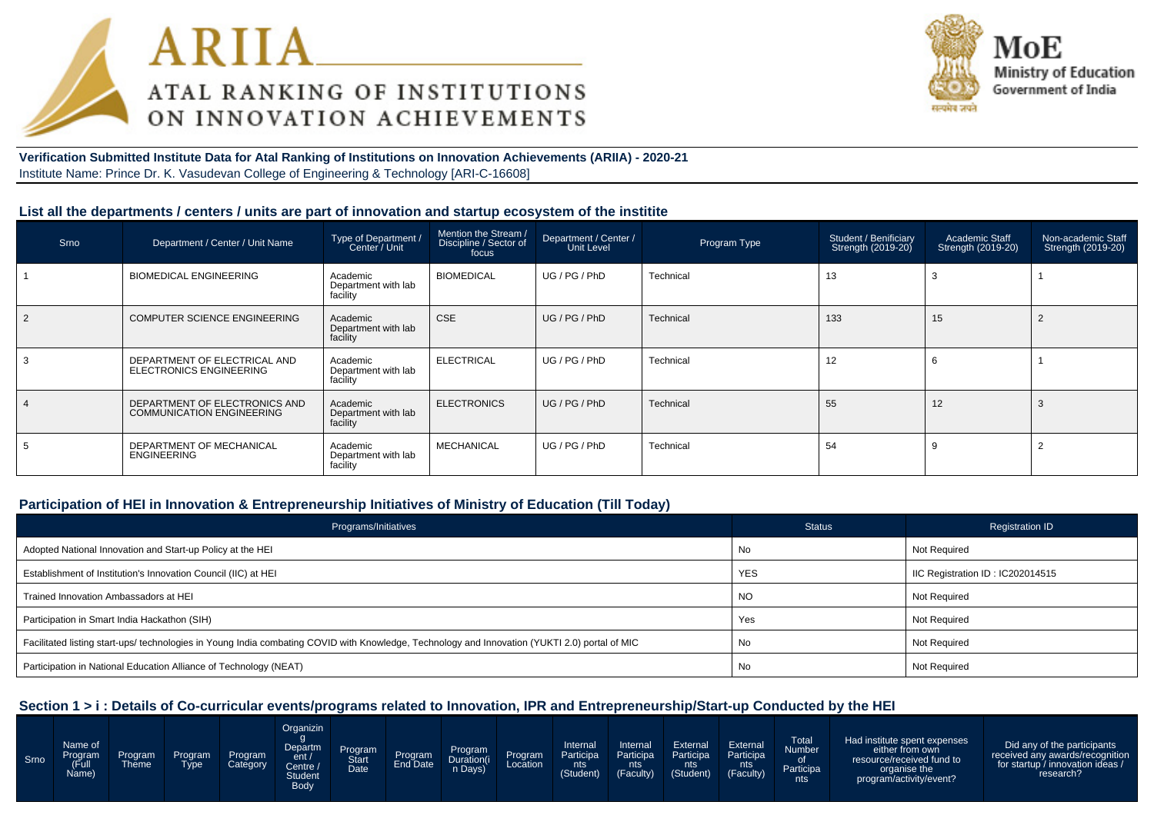



#### **Verification Submitted Institute Data for Atal Ranking of Institutions on Innovation Achievements (ARIIA) - 2020-21**Institute Name: Prince Dr. K. Vasudevan College of Engineering & Technology [ARI-C-16608]

#### **List all the departments / centers / units are part of innovation and startup ecosystem of the institite**

| Srno | Department / Center / Unit Name                                   | Type of Department /<br>Center / Unit       | Mention the Stream /<br>Discipline / Sector of<br>focus | Department / Center /<br>Unit Level | Program Type | Student / Benificiary<br>Strength (2019-20) | Academic Staff<br>Strength (2019-20) | Non-academic Staff<br>Strength (2019-20) |
|------|-------------------------------------------------------------------|---------------------------------------------|---------------------------------------------------------|-------------------------------------|--------------|---------------------------------------------|--------------------------------------|------------------------------------------|
|      | <b>BIOMEDICAL ENGINEERING</b>                                     | Academic<br>Department with lab<br>facility | <b>BIOMEDICAL</b>                                       | UG / PG / PhD                       | Technical    | 13                                          |                                      |                                          |
|      | <b>COMPUTER SCIENCE ENGINEERING</b>                               | Academic<br>Department with lab<br>facility | <b>CSE</b>                                              | UG/PG/PhD                           | Technical    | 133                                         | 15                                   |                                          |
|      | DEPARTMENT OF ELECTRICAL AND<br><b>ELECTRONICS ENGINEERING</b>    | Academic<br>Department with lab<br>facility | <b>ELECTRICAL</b>                                       | UG/PG/PhD                           | Technical    | 12                                          | b                                    |                                          |
|      | DEPARTMENT OF ELECTRONICS AND<br><b>COMMUNICATION ENGINEERING</b> | Academic<br>Department with lab<br>facility | <b>ELECTRONICS</b>                                      | UG/PG/PhD                           | Technical    | 55                                          | 12                                   |                                          |
|      | DEPARTMENT OF MECHANICAL<br><b>ENGINEERING</b>                    | Academic<br>Department with lab<br>facility | <b>MECHANICAL</b>                                       | UG / PG / PhD                       | Technical    | 54                                          |                                      |                                          |

#### **Participation of HEI in Innovation & Entrepreneurship Initiatives of Ministry of Education (Till Today)**

| Programs/Initiatives                                                                                                                           | <b>Status</b> | <b>Registration ID</b>           |
|------------------------------------------------------------------------------------------------------------------------------------------------|---------------|----------------------------------|
| Adopted National Innovation and Start-up Policy at the HEI                                                                                     | No            | Not Required                     |
| Establishment of Institution's Innovation Council (IIC) at HEI                                                                                 | <b>YES</b>    | IIC Registration ID: IC202014515 |
| Trained Innovation Ambassadors at HEI                                                                                                          | <b>NO</b>     | Not Required                     |
| Participation in Smart India Hackathon (SIH)                                                                                                   | Yes           | Not Required                     |
| Facilitated listing start-ups/ technologies in Young India combating COVID with Knowledge, Technology and Innovation (YUKTI 2.0) portal of MIC | No            | Not Required                     |
| Participation in National Education Alliance of Technology (NEAT)                                                                              | No            | Not Required                     |

#### **Section 1 > i : Details of Co-curricular events/programs related to Innovation, IPR and Entrepreneurship/Start-up Conducted by the HEI**

| Srno | Name of<br>Program<br>(Full<br>Name) | Program<br><b>Theme</b> | Program<br><b>Type</b> | Program<br>Category | Organizin<br>Departm<br>ent/<br>، Centre<br><b>Student</b><br>Body | <b>Program</b><br>Start<br><b>Date</b> | Program<br>End Date | Program<br>Duration(i<br>n Days) | Program<br>Location | Internal<br>Participa<br>nts<br>(Student) | Internal<br>Participa<br>nts i<br>(Faculty) | External<br>Participa<br>nts<br>(Student) | External<br>Participa<br>nts<br>(Faculty) | <b>Total</b><br><b>Number</b><br>Participa<br>nts | Had institute spent expenses<br>either from own<br>resource/received fund to<br>organise the<br>program/activity/event? | Did any of the participants<br>received any awards/recognition<br>for startup / innovation ideas /<br>research? |
|------|--------------------------------------|-------------------------|------------------------|---------------------|--------------------------------------------------------------------|----------------------------------------|---------------------|----------------------------------|---------------------|-------------------------------------------|---------------------------------------------|-------------------------------------------|-------------------------------------------|---------------------------------------------------|-------------------------------------------------------------------------------------------------------------------------|-----------------------------------------------------------------------------------------------------------------|
|------|--------------------------------------|-------------------------|------------------------|---------------------|--------------------------------------------------------------------|----------------------------------------|---------------------|----------------------------------|---------------------|-------------------------------------------|---------------------------------------------|-------------------------------------------|-------------------------------------------|---------------------------------------------------|-------------------------------------------------------------------------------------------------------------------------|-----------------------------------------------------------------------------------------------------------------|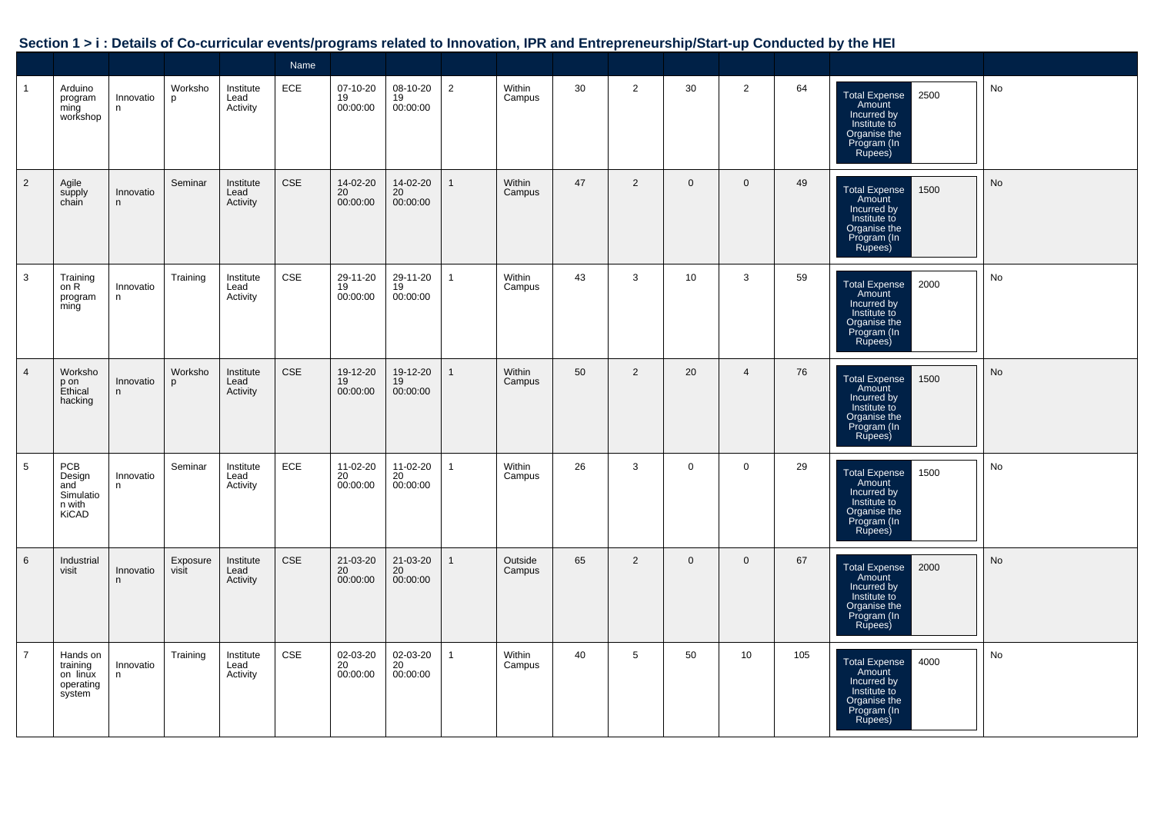| Section 1 > i : Details of Co-curricular events/programs related to Innovation, IPR and Entrepreneurship/Start-up Conducted by the HEI |  |  |
|----------------------------------------------------------------------------------------------------------------------------------------|--|--|
|                                                                                                                                        |  |  |

|                |                                                             |                |                   |                               | Name       |                            |                            |                |                   |    |                 |                 |                |     |                                                                                                                 |    |
|----------------|-------------------------------------------------------------|----------------|-------------------|-------------------------------|------------|----------------------------|----------------------------|----------------|-------------------|----|-----------------|-----------------|----------------|-----|-----------------------------------------------------------------------------------------------------------------|----|
| $\mathbf{1}$   | Arduino<br>program<br>ming<br>workshop                      | Innovatio<br>n | Worksho<br>p      | Institute<br>Lead<br>Activity | ECE        | 07-10-20<br>19<br>00:00:00 | 08-10-20<br>19<br>00:00:00 | $\overline{2}$ | Within<br>Campus  | 30 | $\overline{2}$  | 30              | $\overline{2}$ | 64  | 2500<br><b>Total Expense</b><br>Amount<br>Incurred by<br>Institute to<br>Organise the<br>Program (In<br>Rupees) | No |
| $\overline{2}$ | Agile<br>supply<br>chain                                    | Innovatio<br>n | Seminar           | Institute<br>Lead<br>Activity | <b>CSE</b> | 14-02-20<br>20<br>00:00:00 | 14-02-20<br>20<br>00:00:00 | $\mathbf{1}$   | Within<br>Campus  | 47 | $\overline{2}$  | $\mathbf 0$     | $\overline{0}$ | 49  | Total Expense<br>Amount<br>Incurred by<br>1500<br>Institute to<br>Organise the<br>Program (In<br>Rupees)        | No |
| 3              | Training<br>on R<br>program<br>ming                         | Innovatio<br>n | Training          | Institute<br>Lead<br>Activity | CSE        | 29-11-20<br>19<br>00:00:00 | 29-11-20<br>19<br>00:00:00 | $\mathbf{1}$   | Within<br>Campus  | 43 | 3               | 10 <sup>1</sup> | 3              | 59  | 2000<br><b>Total Expense</b><br>Amount<br>Incurred by<br>Institute to<br>Organise the<br>Program (In<br>Rupees) | No |
| $\overline{4}$ | Worksho<br>p on<br>Ethical<br>hacking                       | Innovatio<br>n | Worksho<br>p      | Institute<br>Lead<br>Activity | <b>CSE</b> | 19-12-20<br>19<br>00:00:00 | 19-12-20<br>19<br>00:00:00 | $\mathbf{1}$   | Within<br>Campus  | 50 | 2               | 20              | $\overline{4}$ | 76  | 1500<br><b>Total Expense</b><br>Amount<br>Incurred by<br>Institute to<br>Organise the<br>Program (In<br>Rupees) | No |
| 5              | PCB<br>Design<br>and<br>Simulatio<br>n with<br><b>KiCAD</b> | Innovatio<br>n | Seminar           | Institute<br>Lead<br>Activity | ECE        | 11-02-20<br>20<br>00:00:00 | 11-02-20<br>20<br>00:00:00 | $\mathbf{1}$   | Within<br>Campus  | 26 | 3               | $\mathbf 0$     | $\mathbf 0$    | 29  | Total Expense<br>Amount<br>1500<br>Incurred by<br>Institute to<br>Organise the<br>Program (In<br>Rupees)        | No |
| 6              | Industrial<br>visit                                         | Innovatio<br>n | Exposure<br>visit | Institute<br>Lead<br>Activity | <b>CSE</b> | 21-03-20<br>20<br>00:00:00 | 21-03-20<br>20<br>00:00:00 | $\mathbf{1}$   | Outside<br>Campus | 65 | 2               | $\mathbf 0$     | $\mathbf{0}$   | 67  | 2000<br><b>Total Expense</b><br>Amount<br>Incurred by<br>Institute to<br>Organise the<br>Program (In<br>Rupees) | No |
| $\overline{7}$ | Hands on<br>training<br>on linux<br>operating<br>system     | Innovatio<br>n | Training          | Institute<br>Lead<br>Activity | <b>CSE</b> | 02-03-20<br>20<br>00:00:00 | 02-03-20<br>20<br>00:00:00 | $\mathbf{1}$   | Within<br>Campus  | 40 | $5\phantom{.0}$ | 50              | 10             | 105 | <b>Total Expense</b><br>4000<br>Amount<br>Incurred by<br>Institute to<br>Organise the<br>Program (In<br>Rupees) | No |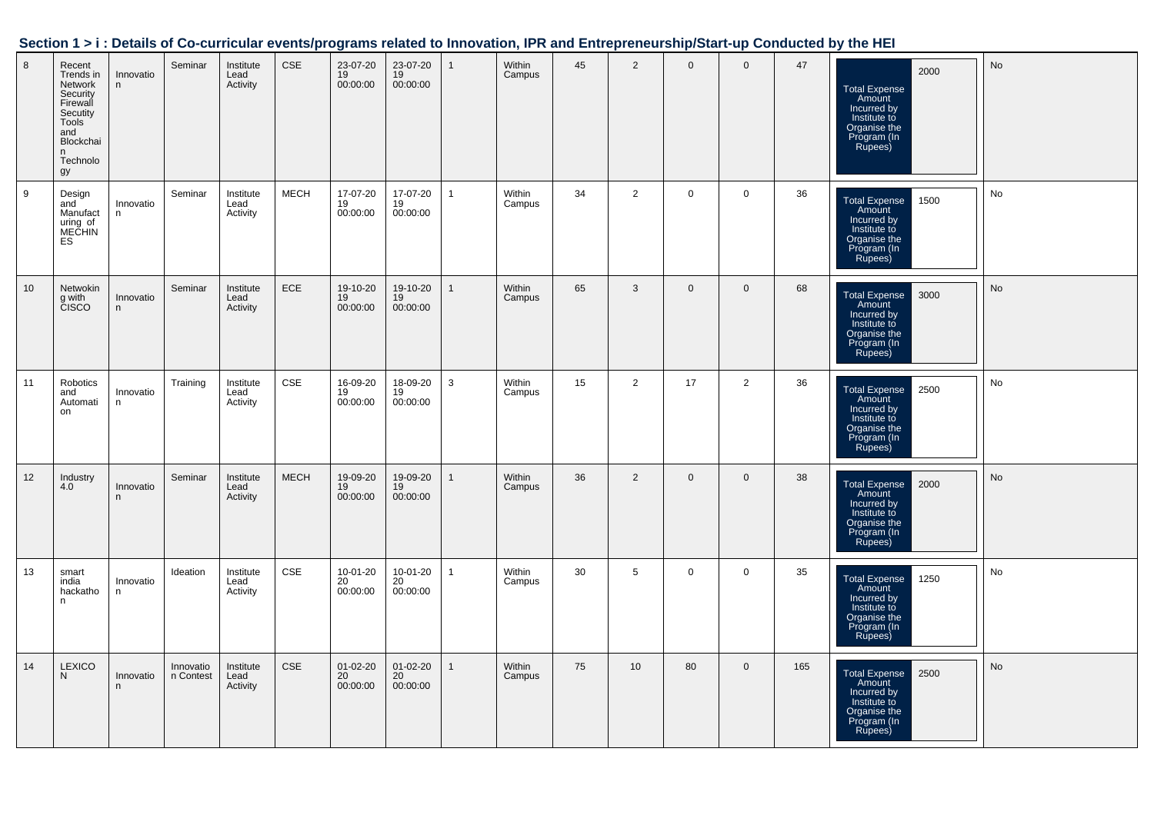|  | Section 1 > i : Details of Co-curricular events/programs related to Innovation, IPR and Entrepreneurship/Start-up Conducted by the HEI |  |
|--|----------------------------------------------------------------------------------------------------------------------------------------|--|
|  |                                                                                                                                        |  |

| 8               | Recent<br>Trends in<br>Network<br>Security<br>Firewall<br>Secutity<br>Tools<br>and<br>Blockchai<br>n<br>Technolo<br>gy | Innovatio<br>n | Seminar                | Institute<br>Lead<br>Activity | <b>CSE</b>  | 23-07-20<br>19<br>00:00:00 | 23-07-20<br>19<br>00:00:00       | $\mathbf{1}$ | Within<br>Campus | 45 | $\overline{2}$  | $\mathbf 0$  | $\mathbf 0$    | 47  | 2000<br><b>Total Expense</b><br>Amount<br>Incurred by<br>Institute to<br>Organise the<br>Program (In<br>Rupees) | No |
|-----------------|------------------------------------------------------------------------------------------------------------------------|----------------|------------------------|-------------------------------|-------------|----------------------------|----------------------------------|--------------|------------------|----|-----------------|--------------|----------------|-----|-----------------------------------------------------------------------------------------------------------------|----|
| 9               | Design<br>and<br>Manufact<br>uring of<br>MEČHIN<br>ES                                                                  | Innovatio<br>n | Seminar                | Institute<br>Lead<br>Activity | <b>MECH</b> | 17-07-20<br>19<br>00:00:00 | 17-07-20<br>19<br>00:00:00       | $\mathbf{1}$ | Within<br>Campus | 34 | $\overline{2}$  | $\mathbf 0$  | $\mathbf 0$    | 36  | 1500<br><b>Total Expense</b><br>Amount<br>Incurred by<br>Institute to<br>Organise the<br>Program (In<br>Rupees) | No |
| 10 <sup>1</sup> | Netwokin<br>g with<br>CISCO                                                                                            | Innovatio<br>n | Seminar                | Institute<br>Lead<br>Activity | ECE         | 19-10-20<br>19<br>00:00:00 | 19-10-20<br>19<br>00:00:00       | $\mathbf{1}$ | Within<br>Campus | 65 | $\mathbf{3}$    | $\mathbf 0$  | $\mathbf 0$    | 68  | 3000<br><b>Total Expense</b><br>Amount<br>Incurred by<br>Institute to<br>Organise the<br>Program (In<br>Rupees) | No |
| 11              | Robotics<br>and<br>Automati<br>on                                                                                      | Innovatio<br>n | Training               | Institute<br>Lead<br>Activity | CSE         | 16-09-20<br>19<br>00:00:00 | 18-09-20<br>19<br>00:00:00       | 3            | Within<br>Campus | 15 | $\overline{2}$  | 17           | $\overline{2}$ | 36  | 2500<br><b>Total Expense</b><br>Amount<br>Incurred by<br>Institute to<br>Organise the<br>Program (In<br>Rupees) | No |
| 12              | Industry<br>4.0                                                                                                        | Innovatio<br>n | Seminar                | Institute<br>Lead<br>Activity | <b>MECH</b> | 19-09-20<br>19<br>00:00:00 | 19-09-20<br>19<br>00:00:00       | $\mathbf{1}$ | Within<br>Campus | 36 | $\overline{2}$  | $\mathbf{0}$ | $\mathbf{0}$   | 38  | Total Expense<br>2000<br>Amount<br>Incurred by<br>Institute to<br>Organise the<br>Program (In<br>Rupees)        | No |
| 13              | smart<br>india<br>hackatho<br>n                                                                                        | Innovatio<br>n | Ideation               | Institute<br>Lead<br>Activity | <b>CSE</b>  | 10-01-20<br>20<br>00:00:00 | 10-01-20<br>20<br>00:00:00       | $\mathbf{1}$ | Within<br>Campus | 30 | $5\overline{5}$ | $\mathbf 0$  | $\mathsf{O}$   | 35  | 1250<br>Total Expense<br>Amount<br>Incurred by<br>Institute to<br>Organise the<br>Program (In<br>Rupees)        | No |
| 14              | <b>LEXICO</b><br>N                                                                                                     | Innovatio<br>n | Innovatio<br>n Contest | Institute<br>Lead<br>Activity | <b>CSE</b>  | 01-02-20<br>20<br>00:00:00 | $01 - 02 - 20$<br>20<br>00:00:00 | $\mathbf{1}$ | Within<br>Campus | 75 | 10              | 80           | $\mathbf{0}$   | 165 | Total Expense<br>Amount<br>2500<br>Incurred by<br>Institute to<br>Organise the<br>Program (In<br>Rupees)        | No |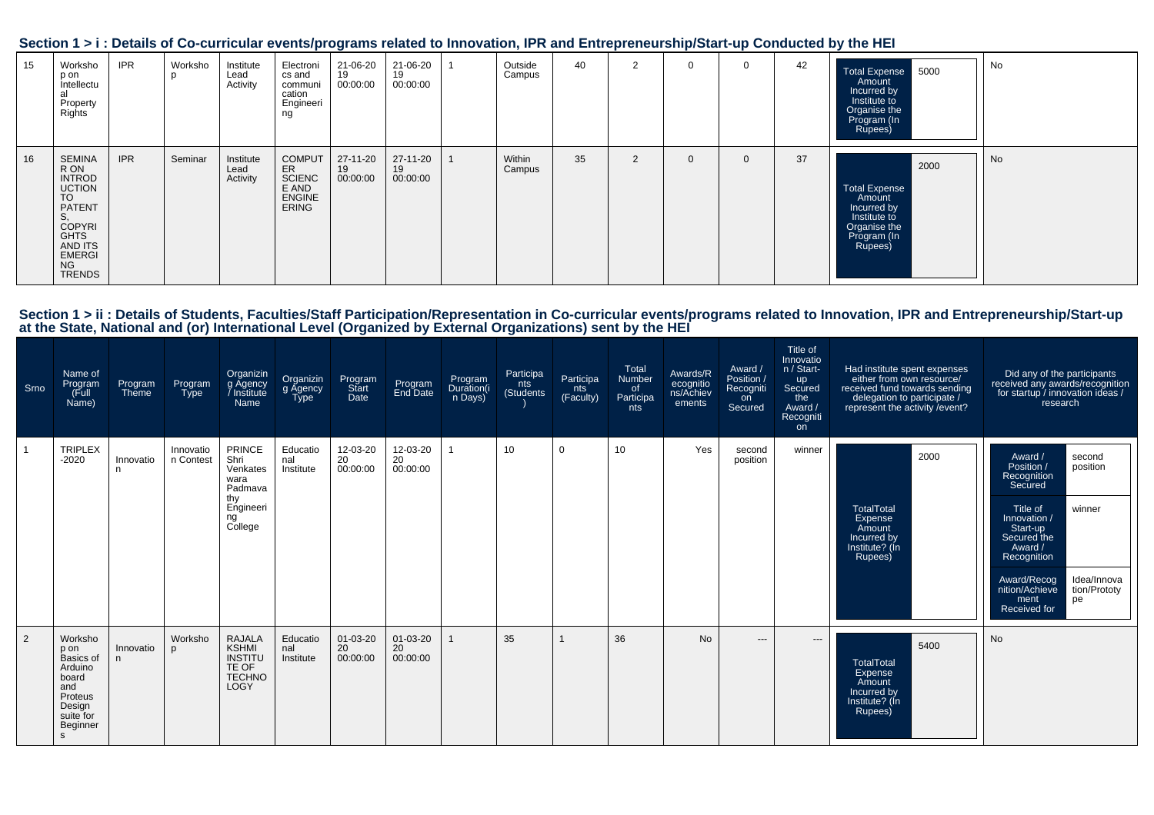| Section 1 > i : Details of Co-curricular events/programs related to Innovation, IPR and Entrepreneurship/Start-up Conducted by the HEI |  |  |
|----------------------------------------------------------------------------------------------------------------------------------------|--|--|
|                                                                                                                                        |  |  |

| 15 | Worksho<br>p on<br>intellectu<br>al<br>Property<br>Rights                                                                             | <b>IPR</b> | Worksho<br>р | Institute<br>Lead<br>Activity | Electroni<br>cs and<br>communi<br>cation<br>Engineeri<br>ng                    | 21-06-20<br>19<br>00:00:00 | 21-06-20<br>19<br>00:00:00 | Outside<br>Campus | 40 | $\overline{2}$ | $\Omega$ | 42 | Total Expense 5000<br>Amount<br>Incurred by<br>Institute to<br>Organise the<br>Program (In<br>Rupees)           | No |
|----|---------------------------------------------------------------------------------------------------------------------------------------|------------|--------------|-------------------------------|--------------------------------------------------------------------------------|----------------------------|----------------------------|-------------------|----|----------------|----------|----|-----------------------------------------------------------------------------------------------------------------|----|
| 16 | SEMINA<br>R ON<br><b>INTROD</b><br><b>UCTION</b><br>TO<br>PATENT<br><b>COPYRI</b><br>GHTS<br>AND ITS<br><b>EMERGI</b><br>NG<br>TRENDS | <b>IPR</b> | Seminar      | Institute<br>Lead<br>Activity | <b>COMPUT</b><br>ER<br><b>SCIENC</b><br>E AND<br><b>ENGINE</b><br><b>ERING</b> | 27-11-20<br>19<br>00:00:00 | 27-11-20<br>19<br>00:00:00 | Within<br>Campus  | 35 | 2              | $\Omega$ | 37 | 2000<br><b>Total Expense</b><br>Amount<br>Incurred by<br>Institute to<br>Organise the<br>Program (In<br>Rupees) | No |

# Section 1 > ii : Details of Students, Faculties/Staff Participation/Representation in Co-curricular events/programs related to Innovation, IPR and Entrepreneurship/Start-up<br>at the State, National and (or) International Lev

| Srno | Name of<br>Program<br>(Full<br>Name)                                                                        | Program<br>Theme | Program<br><b>Type</b> | Organizin<br>g Agency<br>Name                                                             | Organizin<br>g Agency<br>Type | Program<br>Start<br>Date         | Program<br>End Date        | Program<br>Duration(i<br>n Days) | Participa<br>nts<br>(Students) | Participa<br>nts<br>(Faculty) | Total<br>Number<br>of<br>Participa<br>nts | Awards/R<br>ecognitio<br>ns/Achiev<br>ements | Award /<br>Position /<br>Recogniti<br>on<br>Secured | Title of<br>Innovatio<br>n / Start-<br><b>up</b><br>Secured<br>the<br>Award /<br>Recogniti<br>on | Had institute spent expenses<br>either from own resource/<br>received fund towards sending<br>delegation to participate /<br>represent the activity / event? | Did any of the participants<br>received any awards/recognition<br>for startup / innovation ideas /<br>research                                                                                                                                                 |
|------|-------------------------------------------------------------------------------------------------------------|------------------|------------------------|-------------------------------------------------------------------------------------------|-------------------------------|----------------------------------|----------------------------|----------------------------------|--------------------------------|-------------------------------|-------------------------------------------|----------------------------------------------|-----------------------------------------------------|--------------------------------------------------------------------------------------------------|--------------------------------------------------------------------------------------------------------------------------------------------------------------|----------------------------------------------------------------------------------------------------------------------------------------------------------------------------------------------------------------------------------------------------------------|
|      | <b>TRIPLEX</b><br>$-2020$                                                                                   | Innovatio<br>n.  | Innovatio<br>n Contest | <b>PRINCE</b><br>Shri<br>Venkates<br>wara<br>Padmava<br>thy<br>Engineeri<br>ng<br>College | Educatio<br>nal<br>Institute  | 12-03-20<br>20<br>00:00:00       | 12-03-20<br>20<br>00:00:00 |                                  | 10                             | $\Omega$                      | 10                                        | Yes                                          | second<br>position                                  | winner                                                                                           | 2000<br><b>TotalTotal</b><br>Expense<br>Amount<br>Incurred by<br>Institute? (In<br>Rupees)                                                                   | Award /<br>second<br>position<br>Position /<br>Recognition<br>Secured<br>Title of<br>winner<br>Innovation /<br>Start-up<br>Secured the<br>Award /<br>Recognition<br>Award/Recog<br>Idea/Innova<br>nition/Achieve<br>tion/Prototy<br>pe<br>ment<br>Received for |
| 2    | Worksho<br>p on<br>Basics of<br>Arduino<br>board<br>and<br>Proteus<br>Design<br>suite for<br>Beginner<br>s. | Innovatio<br>n.  | Worksho<br>D           | <b>RAJALA</b><br><b>KSHMI</b><br><b>INSTITU</b><br>TE OF<br><b>TECHNO</b><br>LOGY         | Educatio<br>nal<br>Institute  | $01 - 03 - 20$<br>20<br>00:00:00 | 01-03-20<br>20<br>00:00:00 |                                  | 35                             |                               | 36                                        | <b>No</b>                                    | $\qquad \qquad -$                                   | $\hspace{0.05cm} \ldots$                                                                         | 5400<br>TotalTotal<br>Expense<br>Amount<br>Incurred by<br>Institute? (In<br>Rupees)                                                                          | No                                                                                                                                                                                                                                                             |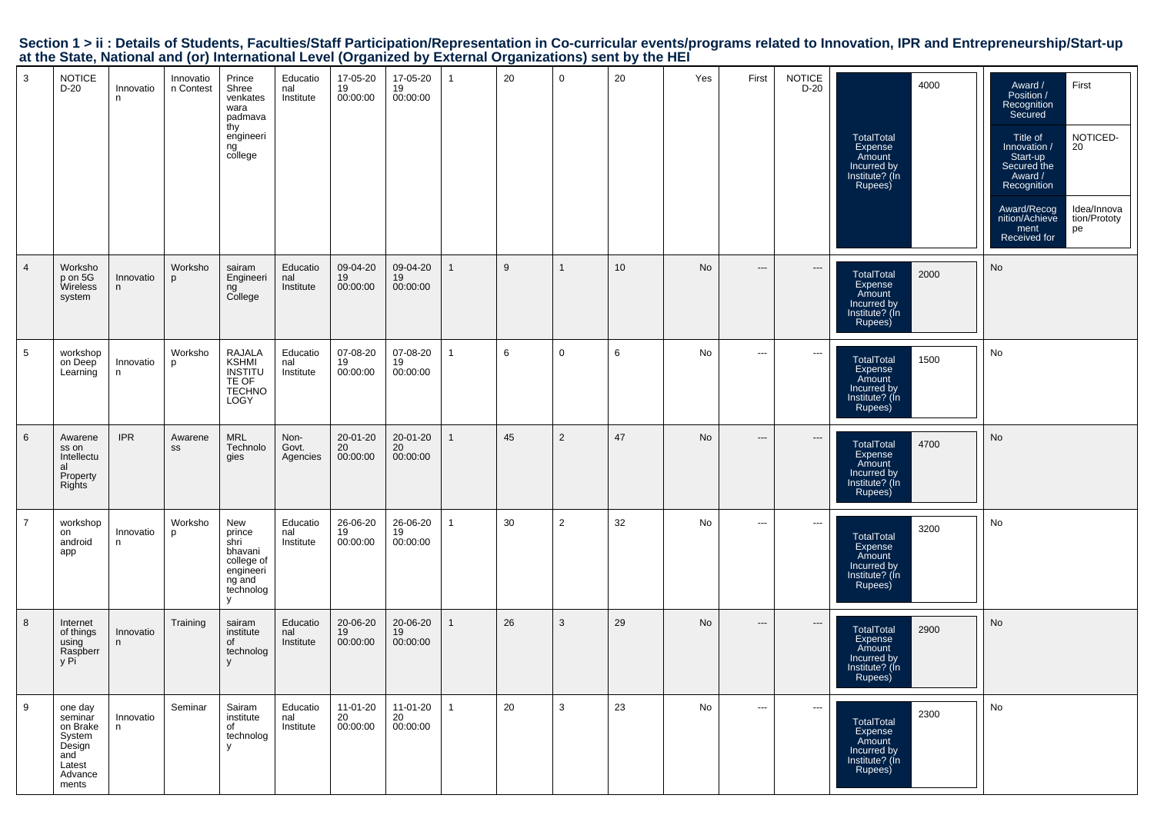Section 1 > ii : Details of Students, Faculties/Staff Participation/Representation in Co-curricular events/programs related to Innovation, IPR and Entrepreneurship/Start-up<br>at the State, National and (or) International Lev

| 3              | <b>NOTICE</b><br>D-20                                                                   | Innovatio<br>n  | Innovatio<br>n Contest | Prince<br>Shree<br>venkates<br>wara<br>padmava<br>thy<br>engineeri<br>ng<br>college     | Educatio<br>nal<br>Institute | 17-05-20<br>19<br>00:00:00 | 17-05-20<br>19<br>00:00:00 |              | 20 | $\mathbf 0$    | 20 | Yes       | First                    | <b>NOTICE</b><br>$D-20$       | 4000<br>TotalTotal<br>Expense<br>Amount<br>Incurred by<br>Institute? (In<br>Rupees)        | First<br>Award /<br>Position /<br>Recognition<br>Secured<br>NOTICED-<br>20<br>Title of<br>Innovation /<br>Start-up<br>Secured the<br>Award /<br>Recognition<br>Idea/Innova<br>Award/Recog<br>nition/Achieve<br>tion/Prototy<br>pe<br>ment<br>Received for |
|----------------|-----------------------------------------------------------------------------------------|-----------------|------------------------|-----------------------------------------------------------------------------------------|------------------------------|----------------------------|----------------------------|--------------|----|----------------|----|-----------|--------------------------|-------------------------------|--------------------------------------------------------------------------------------------|-----------------------------------------------------------------------------------------------------------------------------------------------------------------------------------------------------------------------------------------------------------|
| 4              | Worksho<br>p on 5G<br><b>Wireless</b><br>system                                         | Innovatio<br>n  | Worksho<br>p           | sairam<br>Engineeri<br>ng<br>College                                                    | Educatio<br>nal<br>Institute | 09-04-20<br>19<br>00:00:00 | 09-04-20<br>19<br>00:00:00 | $\mathbf 1$  | 9  | $\mathbf{1}$   | 10 | No        | $---$                    | $\hspace{1.5cm} \textbf{---}$ | <b>TotalTotal</b><br>2000<br>Expense<br>Amount<br>Incurred by<br>Institute? (In<br>Rupees) | No                                                                                                                                                                                                                                                        |
| 5              | workshop<br>on Deep<br>Learning                                                         | Innovatio<br>n  | Worksho<br>p           | <b>RAJALA</b><br><b>KSHMI</b><br>INSTITU<br>TE OF<br><b>TECHNO</b><br>LOGY              | Educatio<br>nal<br>Institute | 07-08-20<br>19<br>00:00:00 | 07-08-20<br>19<br>00:00:00 | 1            | 6  | $\mathbf 0$    | 6  | No        | $---$                    | $\hspace{0.05cm} \cdots$      | TotalTotal<br>1500<br>Expense<br>Amount<br>Incurred by<br>Institute? (In<br>Rupees)        | No                                                                                                                                                                                                                                                        |
| 6              | Awarene<br>ss on<br>Intellectu<br>al<br>Property<br>Rights                              | <b>IPR</b>      | Awarene<br>SS          | MRL<br>Technolo<br>gies                                                                 | Non-<br>Govt.<br>Agencies    | 20-01-20<br>20<br>00:00:00 | 20-01-20<br>20<br>00:00:00 | $\mathbf{1}$ | 45 | $\overline{2}$ | 47 | <b>No</b> | $---$                    | $\hspace{0.05cm} \cdots$      | TotalTotal<br>4700<br>Expense<br>Amount<br>Incurred by<br>Institute? (In<br>Rupees)        | No                                                                                                                                                                                                                                                        |
| $\overline{7}$ | workshop<br>on<br>android<br>app                                                        | Innovatio<br>n  | Worksho<br>p           | New<br>prince<br>shri<br>bhavani<br>college of<br>engineeri<br>ng and<br>technolog<br>у | Educatio<br>nal<br>Institute | 26-06-20<br>19<br>00:00:00 | 26-06-20<br>19<br>00:00:00 | 1            | 30 | $\overline{2}$ | 32 | No        | $\sim$ $\sim$            | $\cdots$                      | 3200<br>TotalTotal<br>Expense<br>Amount<br>Incurred by<br>Institute? (In<br>Rupees)        | No                                                                                                                                                                                                                                                        |
| 8              | Internet<br>of things<br>using<br>Raspberr<br>y Pi                                      | Innovatio<br>n  | Training               | sairam<br>institute<br>of<br>technolog<br>у                                             | Educatio<br>nal<br>Institute | 20-06-20<br>19<br>00:00:00 | 20-06-20<br>19<br>00:00:00 | $\mathbf{1}$ | 26 | 3              | 29 | No        | $\hspace{0.05cm} \cdots$ | $\hspace{0.05cm} \cdots$      | TotalTotal<br>2900<br>Expense<br>Amount<br>Incurred by<br>Institute? (In<br>Rupees)        | No                                                                                                                                                                                                                                                        |
| 9              | one day<br>seminar<br>on Brake<br>System<br>Design<br>and<br>Latest<br>Advance<br>ments | Innovatio<br>n. | Seminar                | Sairam<br>institute<br>of<br>technolog<br>y                                             | Educatio<br>nal<br>Institute | 11-01-20<br>20<br>00:00:00 | 11-01-20<br>20<br>00:00:00 | 1            | 20 | $\mathbf{3}$   | 23 | No        | $\hspace{0.05cm} \ldots$ | $\cdots$                      | 2300<br>TotalTotal<br>Expense<br>Amount<br>Incurred by<br>Institute? (In<br>Rupees)        | No                                                                                                                                                                                                                                                        |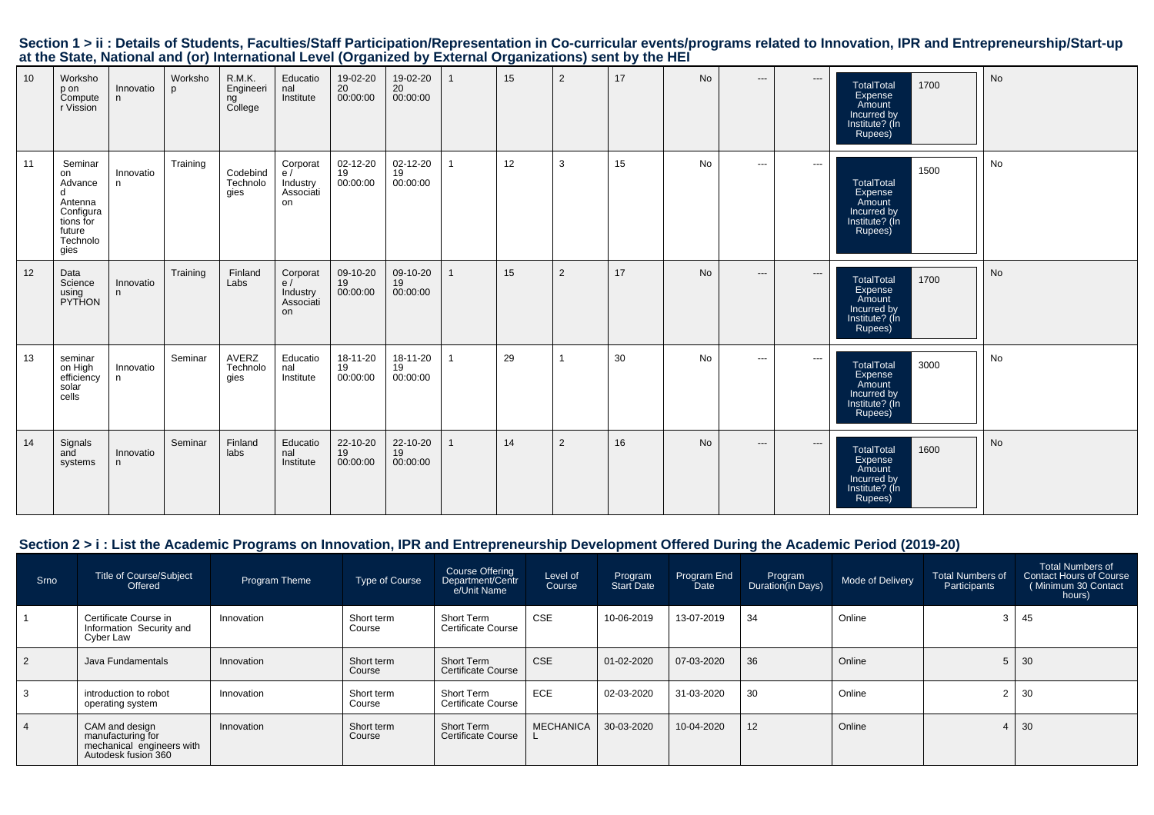|  | Section 1 > ii : Details of Students, Faculties/Staff Participation/Representation in Co-curricular events/programs related to Innovation, IPR and Entrepreneurship/Start-up |  |  |  |
|--|------------------------------------------------------------------------------------------------------------------------------------------------------------------------------|--|--|--|
|  | at the State, National and (or) International Level (Organized by External Organizations) sent by the HEI                                                                    |  |  |  |

| 10 | Worksho<br>p on<br>Compute<br>r Vission                                                          | Innovatio<br>n  | Worksho<br><b>p</b> | R.M.K.<br>Engineeri<br>ng<br>College | Educatio<br>nal<br>Institute                  | 19-02-20<br>20<br>00:00:00 | 19-02-20<br>20<br>00:00:00 |                | 15 | 2              | 17 | No        | $\hspace{0.05cm} \ldots$ | $\hspace{1.5cm} \textbf{---}$ | 1700<br><b>TotalTotal</b><br>Expense<br>Amount<br>Incurred by<br>Institute? (In<br>Rupees) | No        |
|----|--------------------------------------------------------------------------------------------------|-----------------|---------------------|--------------------------------------|-----------------------------------------------|----------------------------|----------------------------|----------------|----|----------------|----|-----------|--------------------------|-------------------------------|--------------------------------------------------------------------------------------------|-----------|
| 11 | Seminar<br>on<br>Advance<br>d<br>Antenna<br>Configura<br>tions for<br>future<br>Technolo<br>gies | Innovatio<br>n  | Training            | Codebind<br>Technolo<br>qies         | Corporat<br>e/<br>Industry<br>Associáti<br>on | 02-12-20<br>19<br>00:00:00 | 02-12-20<br>19<br>00:00:00 |                | 12 | 3              | 15 | No        | $\sim$ $\sim$            | $\cdots$                      | 1500<br><b>TotalTotal</b><br>Expense<br>Amount<br>Incurred by<br>Institute? (In<br>Rupees) | No        |
| 12 | Data<br>Science<br>using<br>PYTHON                                                               | Innovatio<br>n  | Training            | Finland<br>Labs                      | Corporat<br>e/<br>Industry<br>Associati<br>on | 09-10-20<br>19<br>00:00:00 | 09-10-20<br>19<br>00:00:00 | $\mathbf{1}$   | 15 | $\overline{2}$ | 17 | <b>No</b> | $---$                    | $\cdots$                      | <b>TotalTotal</b><br>1700<br>Expense<br>Amount<br>Incurred by<br>Institute? (In<br>Rupees) | <b>No</b> |
| 13 | seminar<br>on High<br>efficiency<br>solar<br>cells                                               | Innovatio<br>n. | Seminar             | AVERZ<br>Technolo<br>qies            | Educatio<br>nal<br>Institute                  | 18-11-20<br>19<br>00:00:00 | 18-11-20<br>19<br>00:00:00 | $\overline{1}$ | 29 | $\overline{1}$ | 30 | <b>No</b> | $\sim$ $\sim$            | $\cdots$                      | <b>TotalTotal</b><br>3000<br>Expense<br>Amount<br>Incurred by<br>Institute? (In<br>Rupees) | No        |
| 14 | Signals<br>and<br>systems                                                                        | Innovatio<br>n  | Seminar             | Finland<br>labs                      | Educatio<br>nal<br>Institute                  | 22-10-20<br>19<br>00:00:00 | 22-10-20<br>19<br>00:00:00 | $\mathbf{1}$   | 14 | 2              | 16 | No        | $\hspace{0.05cm} \ldots$ | $\hspace{0.05cm} \ldots$      | 1600<br><b>TotalTotal</b><br>Expense<br>Amount<br>Incurred by<br>Institute? (In<br>Rupees) | No        |

### **Section 2 > i : List the Academic Programs on Innovation, IPR and Entrepreneurship Development Offered During the Academic Period (2019-20)**

| <b>Srno</b>    | <b>Title of Course/Subject</b><br>Offered                                               | Program Theme | <b>Type of Course</b> | Course Offering<br>Department/Centr<br>e/Unit Name | Level of<br>Course | Program<br>Start Date | Program End<br>Date | Program<br>Duration(in Days) | Mode of Delivery | <b>Total Numbers of</b><br>Participants | <b>Total Numbers of</b><br>Contact Hours of Course<br>Minimum 30 Contact<br>hours) |
|----------------|-----------------------------------------------------------------------------------------|---------------|-----------------------|----------------------------------------------------|--------------------|-----------------------|---------------------|------------------------------|------------------|-----------------------------------------|------------------------------------------------------------------------------------|
|                | Certificate Course in<br>Information Security and<br>Cyber Law                          | Innovation    | Short term<br>Course  | Short Term<br><b>Certificate Course</b>            | <b>CSE</b>         | 10-06-2019            | 13-07-2019          | 34                           | Online           |                                         | 45                                                                                 |
| 2              | Java Fundamentals                                                                       | Innovation    | Short term<br>Course  | Short Term<br><b>Certificate Course</b>            | <b>CSE</b>         | 01-02-2020            | 07-03-2020          | 36                           | Online           |                                         | 30                                                                                 |
| 3              | introduction to robot<br>operating system                                               | Innovation    | Short term<br>Course  | Short Term<br>Certificate Course                   | <b>ECE</b>         | 02-03-2020            | 31-03-2020          | 30                           | Online           |                                         | 30                                                                                 |
| $\overline{4}$ | CAM and design<br>manufacturing for<br>mechanical engineers with<br>Autodesk fusion 360 | Innovation    | Short term<br>Course  | Short Term<br><b>Certificate Course</b>            | <b>MECHANICA</b>   | 30-03-2020            | 10-04-2020          | 12                           | Online           |                                         | 30                                                                                 |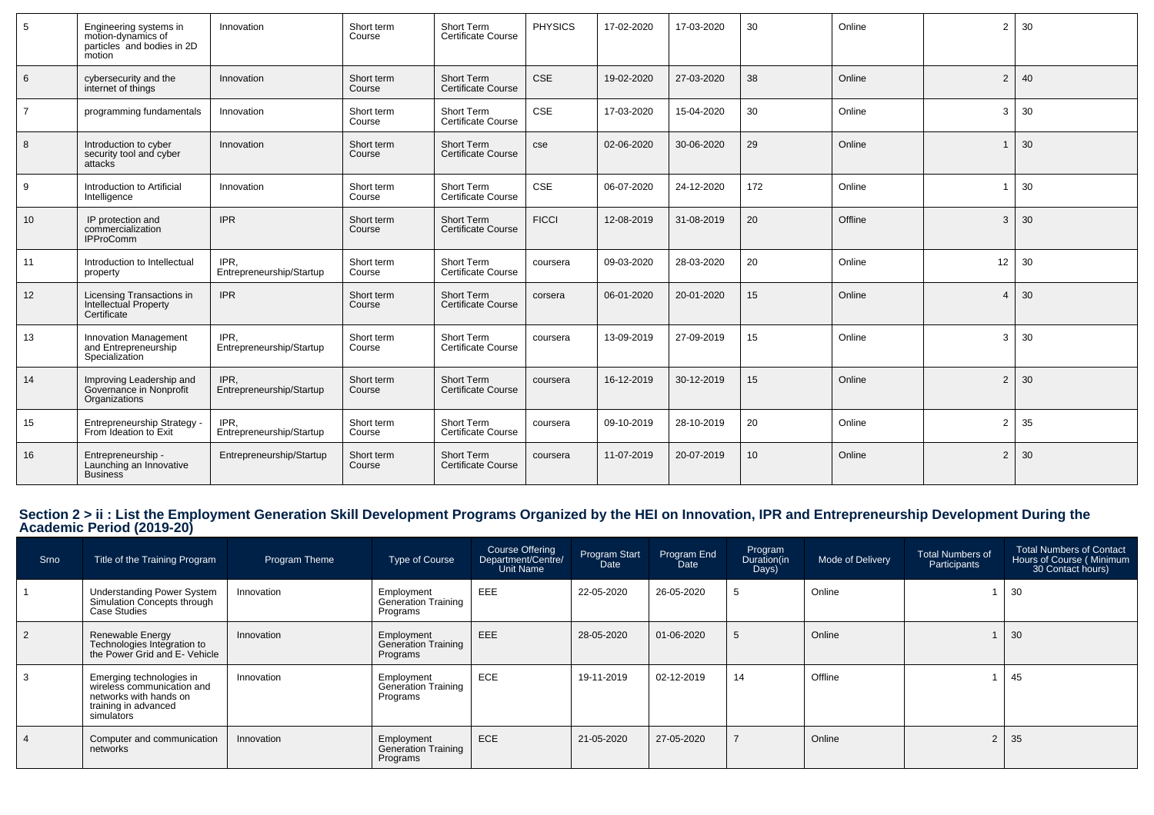| 5               | Engineering systems in<br>motion-dynamics of<br>particles and bodies in 2D<br>motion | Innovation                       | Short term<br>Course | Short Term<br><b>Certificate Course</b> | <b>PHYSICS</b> | 17-02-2020 | 17-03-2020 | 30              | Online  | 2              | 30 |
|-----------------|--------------------------------------------------------------------------------------|----------------------------------|----------------------|-----------------------------------------|----------------|------------|------------|-----------------|---------|----------------|----|
| 6               | cybersecurity and the<br>internet of things                                          | Innovation                       | Short term<br>Course | Short Term<br><b>Certificate Course</b> | <b>CSE</b>     | 19-02-2020 | 27-03-2020 | 38              | Online  | $\overline{2}$ | 40 |
| $\overline{7}$  | programming fundamentals                                                             | Innovation                       | Short term<br>Course | Short Term<br><b>Certificate Course</b> | <b>CSE</b>     | 17-03-2020 | 15-04-2020 | 30              | Online  | 3              | 30 |
| 8               | Introduction to cyber<br>security tool and cyber<br>attacks                          | Innovation                       | Short term<br>Course | Short Term<br><b>Certificate Course</b> | cse            | 02-06-2020 | 30-06-2020 | 29              | Online  | $\mathbf{1}$   | 30 |
| 9               | Introduction to Artificial<br>Intelligence                                           | Innovation                       | Short term<br>Course | Short Term<br><b>Certificate Course</b> | <b>CSE</b>     | 06-07-2020 | 24-12-2020 | 172             | Online  | $\overline{1}$ | 30 |
| 10 <sup>1</sup> | IP protection and<br>commercialization<br><b>IPProComm</b>                           | <b>IPR</b>                       | Short term<br>Course | Short Term<br><b>Certificate Course</b> | <b>FICCI</b>   | 12-08-2019 | 31-08-2019 | 20              | Offline | 3              | 30 |
| 11              | Introduction to Intellectual<br>property                                             | IPR.<br>Entrepreneurship/Startup | Short term<br>Course | Short Term<br><b>Certificate Course</b> | coursera       | 09-03-2020 | 28-03-2020 | 20              | Online  | 12             | 30 |
| 12              | Licensing Transactions in<br>Intellectual Property<br>Certificate                    | <b>IPR</b>                       | Short term<br>Course | Short Term<br><b>Certificate Course</b> | corsera        | 06-01-2020 | 20-01-2020 | 15              | Online  | $\overline{4}$ | 30 |
| 13              | <b>Innovation Management</b><br>and Entrepreneurship<br>Specialization               | IPR.<br>Entrepreneurship/Startup | Short term<br>Course | Short Term<br><b>Certificate Course</b> | coursera       | 13-09-2019 | 27-09-2019 | 15              | Online  | 3              | 30 |
| 14              | Improving Leadership and<br>Governance in Nonprofit<br>Organizations                 | IPR,<br>Entrepreneurship/Startup | Short term<br>Course | Short Term<br><b>Certificate Course</b> | coursera       | 16-12-2019 | 30-12-2019 | 15              | Online  | $\overline{2}$ | 30 |
| 15              | Entrepreneurship Strategy -<br>From Ideation to Exit                                 | IPR.<br>Entrepreneurship/Startup | Short term<br>Course | Short Term<br><b>Certificate Course</b> | coursera       | 09-10-2019 | 28-10-2019 | 20              | Online  | 2              | 35 |
| 16              | Entrepreneurship -<br>Launching an Innovative<br><b>Business</b>                     | Entrepreneurship/Startup         | Short term<br>Course | Short Term<br>Certificate Course        | coursera       | 11-07-2019 | 20-07-2019 | 10 <sup>1</sup> | Online  | $\overline{2}$ | 30 |

# **Section 2 > ii : List the Employment Generation Skill Development Programs Organized by the HEI on Innovation, IPR and Entrepreneurship Development During the Academic Period (2019-20)**

| Srno | Title of the Training Program                                                                                          | Program Theme | Type of Course                                       | Course Offering<br>Department/Centre/<br>Unit Name | Program Start<br>Date | Program End<br><b>Date</b> | Program<br>Duration(in<br>Days) | Mode of Delivery | Total Numbers of<br>Participants | Total Numbers of Contact<br>Hours of Course (Minimum<br>30 Contact hours) |
|------|------------------------------------------------------------------------------------------------------------------------|---------------|------------------------------------------------------|----------------------------------------------------|-----------------------|----------------------------|---------------------------------|------------------|----------------------------------|---------------------------------------------------------------------------|
|      | <b>Understanding Power System</b><br>Simulation Concepts through<br>Case Studies                                       | Innovation    | Employment<br><b>Generation Training</b><br>Programs | EEE                                                | 22-05-2020            | 26-05-2020                 | 5                               | Online           |                                  | 30                                                                        |
|      | Renewable Energy<br>Technologies Integration to<br>the Power Grid and E- Vehicle                                       | Innovation    | Employment<br><b>Generation Training</b><br>Programs | EEE                                                | 28-05-2020            | 01-06-2020                 | 5                               | Online           |                                  | 30                                                                        |
|      | Emerging technologies in<br>wireless communication and<br>networks with hands on<br>training in advanced<br>simulators | Innovation    | Employment<br>Generation Training<br>Programs        | <b>ECE</b>                                         | 19-11-2019            | 02-12-2019                 | 14                              | Offline          |                                  | 45                                                                        |
|      | Computer and communication<br>networks                                                                                 | Innovation    | Employment<br>Generation Training<br>Programs        | ECE                                                | 21-05-2020            | 27-05-2020                 |                                 | Online           | $\overline{2}$                   | 35                                                                        |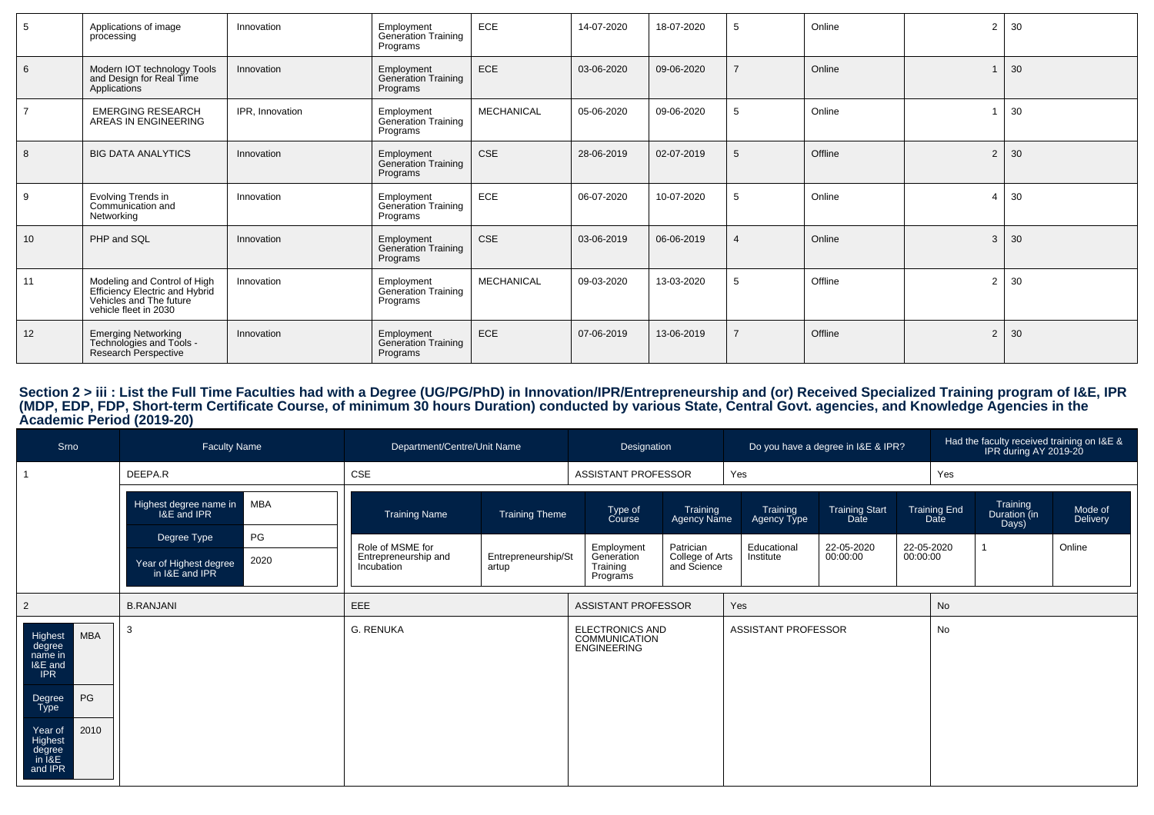| 5  | Applications of image<br>processing                                                                                | Innovation      | Employment<br>Generation Training<br>Programs        | ECE               | 14-07-2020 | 18-07-2020 | 5  | Online  | $\overline{2}$ | 30 |
|----|--------------------------------------------------------------------------------------------------------------------|-----------------|------------------------------------------------------|-------------------|------------|------------|----|---------|----------------|----|
| 6  | Modern IOT technology Tools<br>and Design for Real Time<br>Applications                                            | Innovation      | Employment<br>Generation Training<br>Programs        | ECE               | 03-06-2020 | 09-06-2020 |    | Online  |                | 30 |
|    | <b>EMERGING RESEARCH</b><br>AREAS IN ENGINEERING                                                                   | IPR, Innovation | Employment<br>Generation Training<br>Programs        | <b>MECHANICAL</b> | 05-06-2020 | 09-06-2020 | 5  | Online  |                | 30 |
| 8  | <b>BIG DATA ANALYTICS</b>                                                                                          | Innovation      | <b>Employment</b><br>Generation Training<br>Programs | <b>CSE</b>        | 28-06-2019 | 02-07-2019 | -5 | Offline | 2              | 30 |
| 9  | Evolving Trends in<br>Communication and<br>Networking                                                              | Innovation      | Employment<br>Generation Training<br>Programs        | ECE               | 06-07-2020 | 10-07-2020 | 5  | Online  | $\overline{A}$ | 30 |
| 10 | PHP and SQL                                                                                                        | Innovation      | Employment<br>Generation Training<br>Programs        | <b>CSE</b>        | 03-06-2019 | 06-06-2019 |    | Online  | 3              | 30 |
| 11 | Modeling and Control of High<br>Efficiency Electric and Hybrid<br>Vehicles and The future<br>vehicle fleet in 2030 | Innovation      | Employment<br>Generation Training<br>Programs        | <b>MECHANICAL</b> | 09-03-2020 | 13-03-2020 | 5  | Offline | $\overline{2}$ | 30 |
| 12 | Emerging Networking<br>Technologies and Tools -<br>Research Perspective                                            | Innovation      | Employment<br>Generation Training<br>Programs        | ECE               | 07-06-2019 | 13-06-2019 |    | Offline | $\overline{2}$ | 30 |

# Section 2 > iii : List the Full Time Faculties had with a Degree (UG/PG/PhD) in Innovation/IPR/Entrepreneurship and (or) Received Specialized Training program of I&E, IPR<br>(MDP, EDP, FDP, Short-term Certificate Course, of m

| Srno                                                                                                                                                     | <b>Faculty Name</b>                              | Department/Centre/Unit Name              |                       | Designation                                                   |                                |                            | Do you have a degree in I&E & IPR? |          |                             |                                   | Had the faculty received training on $18E 8$<br>IPR during AY 2019-20 |
|----------------------------------------------------------------------------------------------------------------------------------------------------------|--------------------------------------------------|------------------------------------------|-----------------------|---------------------------------------------------------------|--------------------------------|----------------------------|------------------------------------|----------|-----------------------------|-----------------------------------|-----------------------------------------------------------------------|
|                                                                                                                                                          | DEEPA.R                                          | CSE                                      |                       | ASSISTANT PROFESSOR                                           |                                | Yes                        |                                    |          | Yes                         |                                   |                                                                       |
|                                                                                                                                                          | MBA<br>Highest degree name in<br>I&E and IPR     | <b>Training Name</b>                     | <b>Training Theme</b> | Type of<br>Course                                             | Training<br>Agency Name        | Training<br>Agency Type    | <b>Training Start</b><br>Date      |          | <b>Training End</b><br>Date | Training<br>Duration (in<br>Days) | Mode of<br>Delivery                                                   |
|                                                                                                                                                          | PG<br>Degree Type                                | Role of MSME for<br>Entrepreneurship and | Entrepreneurship/St   | Employment<br>Generation                                      | Patrician                      | Educational<br>Institute   | 22-05-2020<br>00:00:00             | 00:00:00 | 22-05-2020                  |                                   | Online                                                                |
|                                                                                                                                                          | 2020<br>Year of Highest degree<br>in I&E and IPR | Incubation                               | artup                 | Training<br>Programs                                          | College of Arts<br>and Science |                            |                                    |          |                             |                                   |                                                                       |
| $\overline{2}$                                                                                                                                           | <b>B.RANJANI</b>                                 | <b>EEE</b>                               |                       | ASSISTANT PROFESSOR                                           |                                | Yes                        |                                    |          | No                          |                                   |                                                                       |
| <b>MBA</b><br>Highest<br>degree<br>name in<br>I&E and<br><b>IPR</b><br>PG<br>Degree<br>Type<br>2010<br>Year of<br>Highest<br>degree<br>in I&E<br>and IPR |                                                  | G. RENUKA                                |                       | ELECTRONICS AND<br><b>COMMUNICATION</b><br><b>ENGINEERING</b> |                                | <b>ASSISTANT PROFESSOR</b> |                                    |          | No                          |                                   |                                                                       |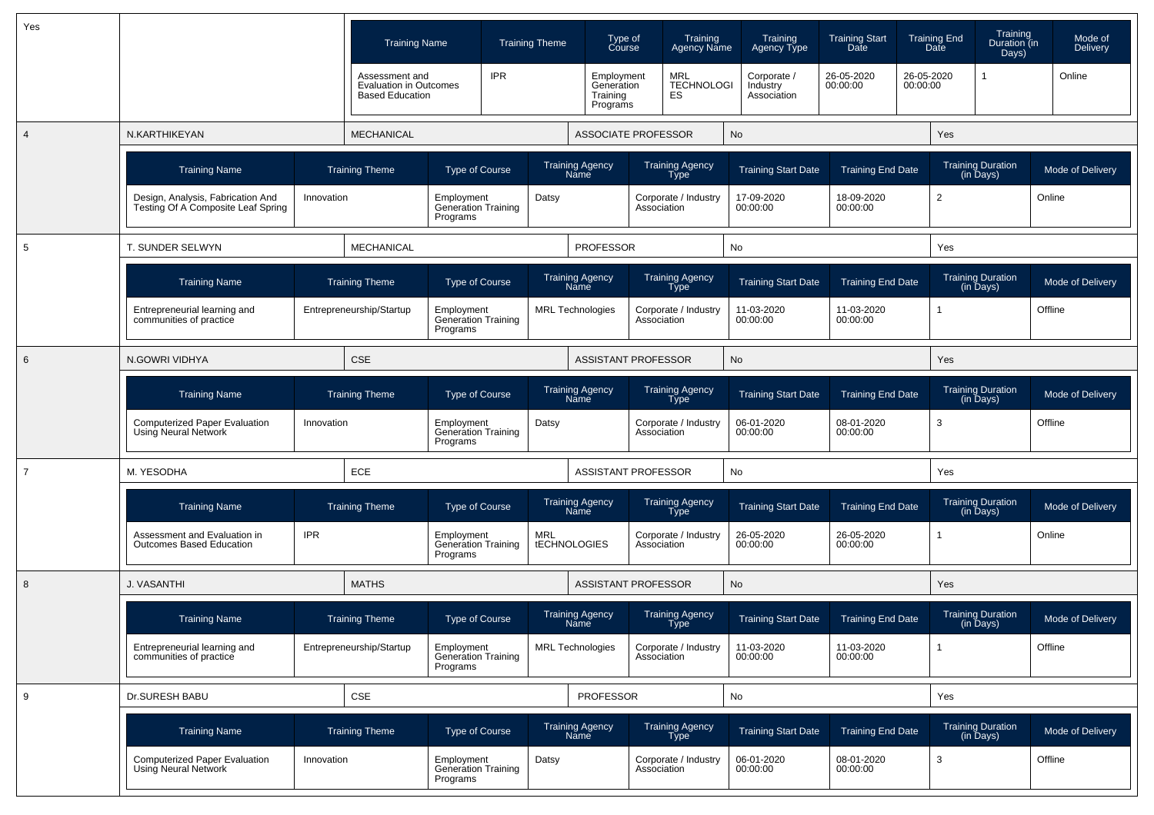| Yes            |                                                                         |            | <b>Training Name</b>                                                      |                                                      |            | <b>Training Theme</b>             | Type of<br>Course                                |             | Training<br><b>Agency Name</b>        | Training<br>Agency Type                | <b>Training Start</b><br>Date |          | <b>Training End</b><br>Date | Training<br>Duration (in<br>Days)     | Mode of<br><b>Delivery</b> |
|----------------|-------------------------------------------------------------------------|------------|---------------------------------------------------------------------------|------------------------------------------------------|------------|-----------------------------------|--------------------------------------------------|-------------|---------------------------------------|----------------------------------------|-------------------------------|----------|-----------------------------|---------------------------------------|----------------------------|
|                |                                                                         |            | Assessment and<br><b>Evaluation in Outcomes</b><br><b>Based Education</b> |                                                      | <b>IPR</b> |                                   | Employment<br>Generation<br>Training<br>Programs |             | MRL<br>TECHNOLOGI<br>ES               | Corporate /<br>Industry<br>Association | 26-05-2020<br>00:00:00        | 00:00:00 | 26-05-2020                  |                                       | Online                     |
| 4              | N.KARTHIKEYAN                                                           |            | <b>MECHANICAL</b>                                                         |                                                      |            |                                   | <b>ASSOCIATE PROFESSOR</b>                       |             |                                       | No                                     |                               |          | Yes                         |                                       |                            |
|                | <b>Training Name</b>                                                    |            | <b>Training Theme</b>                                                     | <b>Type of Course</b>                                |            |                                   | <b>Training Agency</b><br>Name                   |             | <b>Training Agency</b><br>Type        | <b>Training Start Date</b>             | <b>Training End Date</b>      |          |                             | <b>Training Duration</b><br>(in Days) | Mode of Delivery           |
|                | Design, Analysis, Fabrication And<br>Testing Of A Composite Leaf Spring | Innovation |                                                                           | Employment<br>Generation Training<br>Programs        |            | Datsy                             |                                                  | Association | Corporate / Industry                  | 17-09-2020<br>00:00:00                 | 18-09-2020<br>00:00:00        |          | $\overline{2}$              |                                       | Online                     |
| 5              | T. SUNDER SELWYN                                                        |            | <b>MECHANICAL</b>                                                         |                                                      |            |                                   | <b>PROFESSOR</b>                                 |             |                                       | No                                     |                               |          | Yes                         |                                       |                            |
|                | <b>Training Name</b>                                                    |            | <b>Training Theme</b>                                                     | <b>Type of Course</b>                                |            |                                   | Training Agency<br>Name                          |             | Training Agency<br><b>Type</b>        | <b>Training Start Date</b>             | <b>Training End Date</b>      |          |                             | Training Duration<br>(in Days)        | Mode of Delivery           |
|                | Entrepreneurial learning and<br>communities of practice                 |            | Entrepreneurship/Startup                                                  | Employment<br><b>Generation Training</b><br>Programs |            | <b>MRL</b> Technologies           |                                                  | Association | Corporate / Industry                  | 11-03-2020<br>00:00:00                 | 11-03-2020<br>00:00:00        |          | 1                           |                                       | Offline                    |
| 6              | N.GOWRI VIDHYA                                                          |            | <b>CSE</b>                                                                |                                                      |            |                                   | <b>ASSISTANT PROFESSOR</b>                       |             |                                       | No                                     |                               |          | Yes                         |                                       |                            |
|                | <b>Training Name</b>                                                    |            | <b>Training Theme</b>                                                     | <b>Type of Course</b>                                |            |                                   | <b>Training Agency</b><br>Name                   |             | <b>Training Agency</b><br>Type        | <b>Training Start Date</b>             | <b>Training End Date</b>      |          |                             | Training Duration<br>(in Days)        | Mode of Delivery           |
|                | <b>Computerized Paper Evaluation</b><br>Using Neural Network            | Innovation |                                                                           | Employment<br><b>Generation Training</b><br>Programs |            | Datsy                             |                                                  | Association | Corporate / Industry                  | 06-01-2020<br>00:00:00                 | 08-01-2020<br>00:00:00        |          | 3                           |                                       | Offline                    |
| $\overline{7}$ | M. YESODHA                                                              |            | ECE                                                                       |                                                      |            |                                   | ASSISTANT PROFESSOR                              |             |                                       | No                                     |                               |          | Yes                         |                                       |                            |
|                | <b>Training Name</b>                                                    |            | <b>Training Theme</b>                                                     | Type of Course                                       |            |                                   | <b>Training Agency</b><br>Name                   |             | <b>Training Agency</b><br><b>Type</b> | <b>Training Start Date</b>             | <b>Training End Date</b>      |          |                             | <b>Training Duration</b><br>(in Days) | Mode of Delivery           |
|                | Assessment and Evaluation in<br><b>Outcomes Based Education</b>         | <b>IPR</b> |                                                                           | Employment<br><b>Generation Training</b><br>Programs |            | <b>MRL</b><br><b>tECHNOLOGIES</b> |                                                  | Association | Corporate / Industry                  | 26-05-2020<br>00:00:00                 | 26-05-2020<br>00:00:00        |          |                             |                                       | Online                     |
| 8              | J. VASANTHI                                                             |            | <b>MATHS</b>                                                              |                                                      |            |                                   | <b>ASSISTANT PROFESSOR</b>                       |             |                                       | No                                     |                               |          | Yes                         |                                       |                            |
|                | <b>Training Name</b>                                                    |            | <b>Training Theme</b>                                                     | <b>Type of Course</b>                                |            | <b>Name</b>                       | <b>Training Agency</b>                           |             | <b>Training Agency</b><br>Type        | <b>Training Start Date</b>             | <b>Training End Date</b>      |          |                             | <b>Training Duration</b><br>(in Days) | Mode of Delivery           |
|                | Entrepreneurial learning and<br>communities of practice                 |            | Entrepreneurship/Startup                                                  | Employment<br>Generation Training<br>Programs        |            | <b>MRL Technologies</b>           |                                                  | Association | Corporate / Industry                  | 11-03-2020<br>00:00:00                 | 11-03-2020<br>00:00:00        |          | $\overline{1}$              |                                       | Offline                    |
| 9              | Dr.SURESH BABU                                                          |            | CSE                                                                       |                                                      |            |                                   | <b>PROFESSOR</b>                                 |             |                                       | No                                     |                               |          | Yes                         |                                       |                            |
|                | <b>Training Name</b>                                                    |            | <b>Training Theme</b>                                                     | Type of Course                                       |            |                                   | Training Agency<br>Name                          |             | Training Agency<br>Type               | <b>Training Start Date</b>             | <b>Training End Date</b>      |          |                             | Training Duration<br>(in Days)        | Mode of Delivery           |
|                | Computerized Paper Evaluation<br>Using Neural Network                   | Innovation |                                                                           | Employment<br>Generation Training<br>Programs        |            | Datsy                             |                                                  |             | Corporate / Industry<br>Association   | 06-01-2020<br>00:00:00                 | 08-01-2020<br>00:00:00        |          | 3                           |                                       | Offline                    |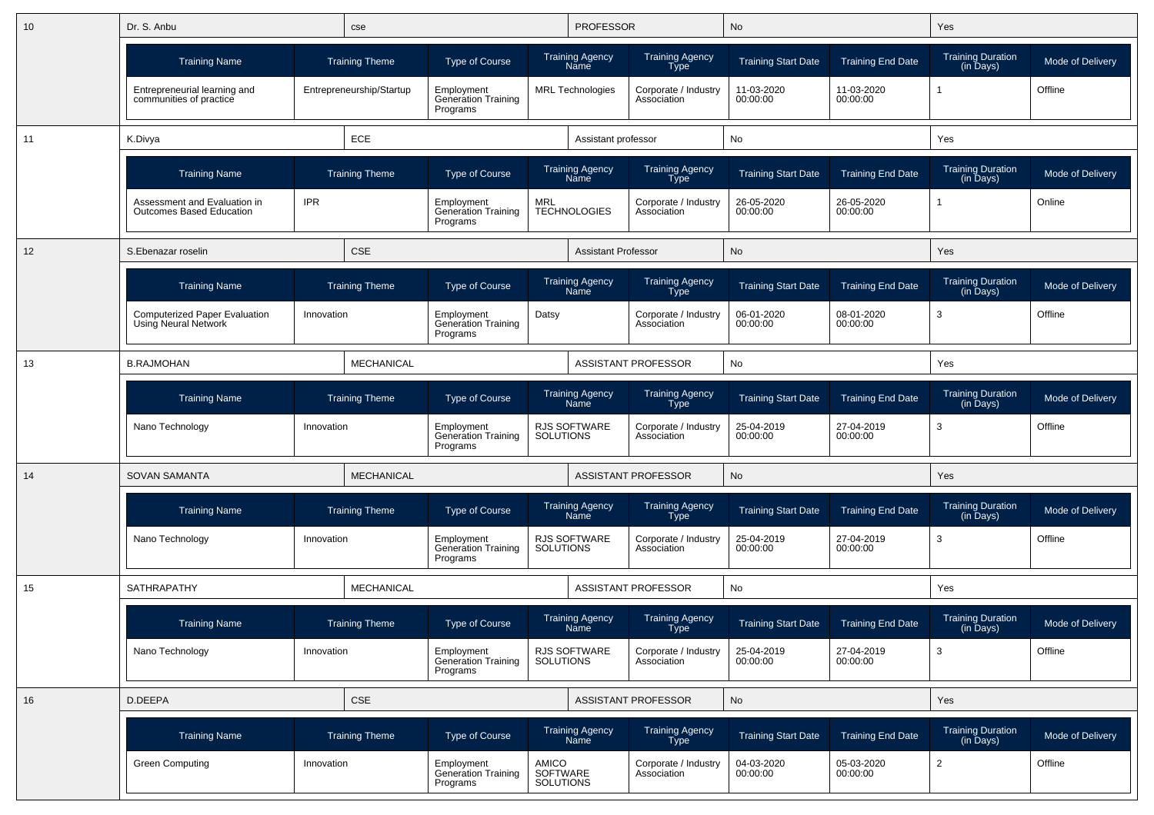| 10 | Dr. S. Anbu                                                         |            | cse                      |                                                      |                                       | <b>PROFESSOR</b>                        |                                       | No                         |                          | Yes                                   |                  |
|----|---------------------------------------------------------------------|------------|--------------------------|------------------------------------------------------|---------------------------------------|-----------------------------------------|---------------------------------------|----------------------------|--------------------------|---------------------------------------|------------------|
|    | <b>Training Name</b>                                                |            | <b>Training Theme</b>    | <b>Type of Course</b>                                |                                       | <b>Training Agency</b><br>Name          | <b>Training Agency</b><br><b>Type</b> | <b>Training Start Date</b> | <b>Training End Date</b> | <b>Training Duration</b><br>(in Days) | Mode of Delivery |
|    | Entrepreneurial learning and<br>communities of practice             |            | Entrepreneurship/Startup | Employment<br><b>Generation Training</b><br>Programs |                                       | <b>MRL Technologies</b>                 | Corporate / Industry<br>Association   | 11-03-2020<br>00:00:00     | 11-03-2020<br>00:00:00   |                                       | Offline          |
| 11 | K.Divya                                                             |            | ECE                      |                                                      |                                       | Assistant professor                     |                                       | No                         |                          | Yes                                   |                  |
|    | <b>Training Name</b>                                                |            | <b>Training Theme</b>    | <b>Type of Course</b>                                |                                       | <b>Training Agency</b><br>Name          | Training Agency<br>Type               | <b>Training Start Date</b> | <b>Training End Date</b> | <b>Training Duration</b><br>(in Days) | Mode of Delivery |
|    | Assessment and Evaluation in<br><b>Outcomes Based Education</b>     | <b>IPR</b> |                          | Employment<br><b>Generation Training</b><br>Programs | <b>MRL</b>                            | <b>TECHNOLOGIES</b>                     | Corporate / Industry<br>Association   | 26-05-2020<br>00:00:00     | 26-05-2020<br>00:00:00   |                                       | Online           |
| 12 | S.Ebenazar roselin                                                  |            | <b>CSE</b>               |                                                      |                                       | <b>Assistant Professor</b>              |                                       | No                         |                          | Yes                                   |                  |
|    | <b>Training Name</b>                                                |            | <b>Training Theme</b>    | <b>Type of Course</b>                                |                                       | Training Agency<br>Name                 | Training Agency<br>Type               | <b>Training Start Date</b> | <b>Training End Date</b> | <b>Training Duration</b><br>(in Days) | Mode of Delivery |
|    | <b>Computerized Paper Evaluation</b><br><b>Using Neural Network</b> | Innovation |                          | Employment<br>Generation Training<br>Programs        | Datsy                                 |                                         | Corporate / Industry<br>Association   | 06-01-2020<br>00:00:00     | 08-01-2020<br>00:00:00   | 3                                     | Offline          |
| 13 | <b>B.RAJMOHAN</b>                                                   |            | <b>MECHANICAL</b>        |                                                      |                                       |                                         | <b>ASSISTANT PROFESSOR</b>            | No                         |                          | Yes                                   |                  |
|    | <b>Training Name</b>                                                |            | <b>Training Theme</b>    | <b>Type of Course</b>                                |                                       | <b>Training Agency</b><br>Name          | Training Agency<br><b>Type</b>        | <b>Training Start Date</b> | <b>Training End Date</b> | <b>Training Duration</b><br>(in Days) | Mode of Delivery |
|    | Nano Technology                                                     | Innovation |                          | Employment<br>Generation Training<br>Programs        | <b>SOLUTIONS</b>                      | <b>RJS SOFTWARE</b>                     | Corporate / Industry<br>Association   | 25-04-2019<br>00:00:00     | 27-04-2019<br>00:00:00   | 3                                     | Offline          |
| 14 | <b>SOVAN SAMANTA</b>                                                |            | <b>MECHANICAL</b>        |                                                      |                                       |                                         | <b>ASSISTANT PROFESSOR</b>            | No                         |                          | Yes                                   |                  |
|    | <b>Training Name</b>                                                |            | <b>Training Theme</b>    | <b>Type of Course</b>                                |                                       | <b>Training Agency</b><br>Name          | Training Agency<br>Type               | <b>Training Start Date</b> | <b>Training End Date</b> | <b>Training Duration</b><br>(in Days) | Mode of Delivery |
|    | Nano Technology                                                     | Innovation |                          | Employment<br>Generation Training<br>Programs        | <b>SOLUTIONS</b>                      | <b>RJS SOFTWARE</b>                     | Corporate / Industry<br>Association   | 25-04-2019<br>00:00:00     | 27-04-2019<br>00:00:00   | 3                                     | Offline          |
| 15 | SATHRAPATHY                                                         |            | MECHANICAL               |                                                      |                                       |                                         | <b>ASSISTANT PROFESSOR</b>            | No                         |                          | Yes                                   |                  |
|    | <b>Training Name</b>                                                |            | <b>Training Theme</b>    | <b>Type of Course</b>                                |                                       | <b>Training Agency</b><br><b>Naffle</b> | <b>Training Agency</b><br>i ype       | <b>Training Start Date</b> | <b>Training End Date</b> | <b>Training Duration</b><br>(in Days) | Mode of Delivery |
|    | Nano Technology                                                     | Innovation |                          | Employment<br>Generation Training<br>Programs        | SOLUTIONS                             | RJS SOFTWARE                            | Corporate / Industry<br>Association   | 25-04-2019<br>00:00:00     | 27-04-2019<br>00:00:00   | 3                                     | Offline          |
| 16 | D.DEEPA                                                             |            | <b>CSE</b>               |                                                      |                                       |                                         | ASSISTANT PROFESSOR                   | No                         |                          | Yes                                   |                  |
|    | <b>Training Name</b>                                                |            | <b>Training Theme</b>    | Type of Course                                       |                                       | Training Agency<br>Name                 | Training Agency<br>Type               | <b>Training Start Date</b> | <b>Training End Date</b> | Training Duration<br>(in Days)        | Mode of Delivery |
|    | <b>Green Computing</b>                                              | Innovation |                          | Employment<br>Generation Training<br>Programs        | AMICO<br>SOFTWARE<br><b>SOLUTIONS</b> |                                         | Corporate / Industry<br>Association   | 04-03-2020<br>00:00:00     | 05-03-2020<br>00:00:00   | $\overline{c}$                        | Offline          |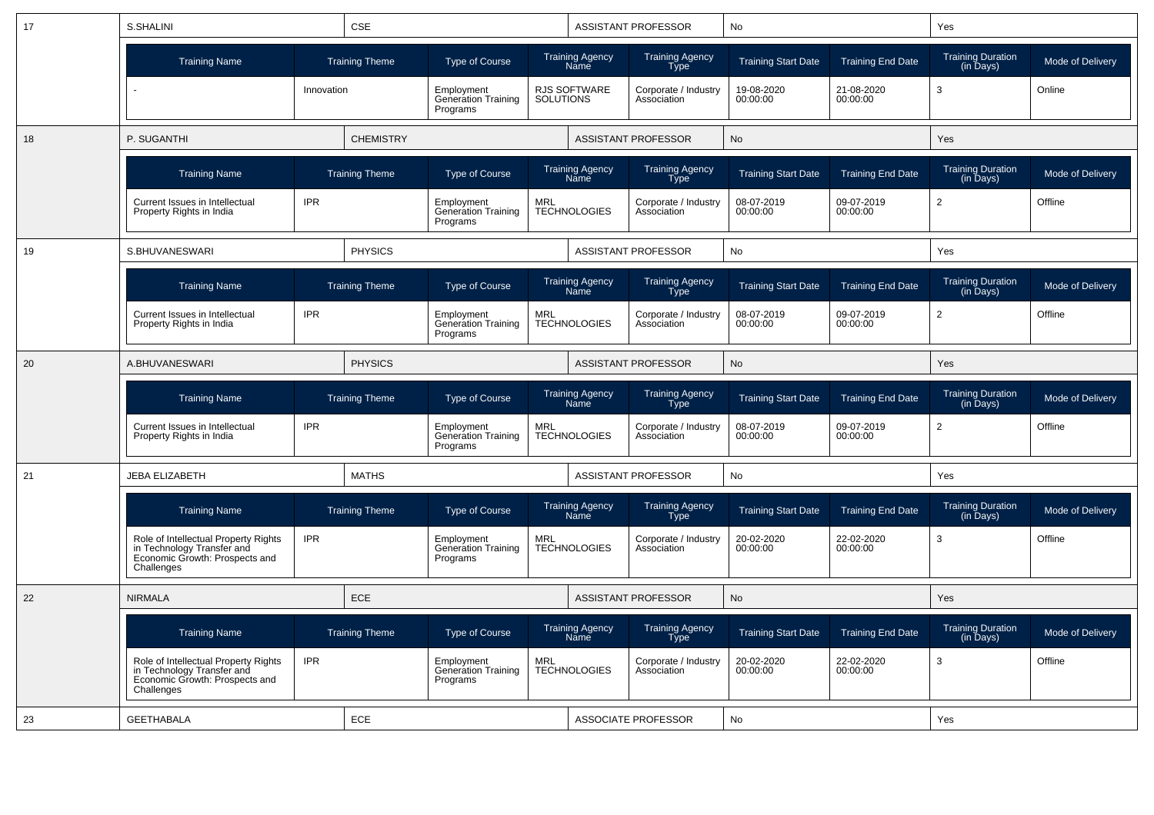| 17 | S.SHALINI                                                                                                          |            | <b>CSE</b>            |                                                      |                  |                                       | <b>ASSISTANT PROFESSOR</b>            | No                         |                          | Yes                                   |                  |
|----|--------------------------------------------------------------------------------------------------------------------|------------|-----------------------|------------------------------------------------------|------------------|---------------------------------------|---------------------------------------|----------------------------|--------------------------|---------------------------------------|------------------|
|    | <b>Training Name</b>                                                                                               |            | <b>Training Theme</b> | Type of Course                                       |                  | <b>Training Agency</b><br>Name        | <b>Training Agency</b><br><b>Type</b> | <b>Training Start Date</b> | <b>Training End Date</b> | <b>Training Duration</b><br>(in Days) | Mode of Delivery |
|    |                                                                                                                    | Innovation |                       | Employment<br><b>Generation Training</b><br>Programs | <b>SOLUTIONS</b> | RJS SOFTWARE                          | Corporate / Industry<br>Association   | 19-08-2020<br>00:00:00     | 21-08-2020<br>00:00:00   | 3                                     | Online           |
| 18 | P. SUGANTHI                                                                                                        |            | <b>CHEMISTRY</b>      |                                                      |                  |                                       | <b>ASSISTANT PROFESSOR</b>            | <b>No</b>                  |                          | Yes                                   |                  |
|    | <b>Training Name</b>                                                                                               |            | <b>Training Theme</b> | Type of Course                                       |                  | Training Agency<br>Name               | <b>Training Agency</b><br><b>Type</b> | <b>Training Start Date</b> | <b>Training End Date</b> | <b>Training Duration</b><br>(in Days) | Mode of Delivery |
|    | Current Issues in Intellectual<br>Property Rights in India                                                         | <b>IPR</b> |                       | Employment<br><b>Generation Training</b><br>Programs | <b>MRL</b>       | <b>TECHNOLOGIES</b>                   | Corporate / Industry<br>Association   | 08-07-2019<br>00:00:00     | 09-07-2019<br>00:00:00   | $\overline{2}$                        | Offline          |
| 19 | S.BHUVANESWARI                                                                                                     |            | <b>PHYSICS</b>        |                                                      |                  |                                       | ASSISTANT PROFESSOR                   | No                         |                          | Yes                                   |                  |
|    | <b>Training Name</b>                                                                                               |            | <b>Training Theme</b> | <b>Type of Course</b>                                |                  | Training Agency<br>Name               | <b>Training Agency</b><br>Type        | <b>Training Start Date</b> | <b>Training End Date</b> | <b>Training Duration</b><br>(in Days) | Mode of Delivery |
| 20 | Current Issues in Intellectual<br>Property Rights in India                                                         | <b>IPR</b> |                       | Employment<br><b>Generation Training</b><br>Programs | <b>MRL</b>       | <b>TECHNOLOGIES</b>                   | Corporate / Industry<br>Association   | 08-07-2019<br>00:00:00     | 09-07-2019<br>00:00:00   | $\overline{2}$                        | Offline          |
|    | A.BHUVANESWARI                                                                                                     |            | <b>PHYSICS</b>        |                                                      |                  |                                       | ASSISTANT PROFESSOR                   | No                         |                          | Yes                                   |                  |
|    | <b>Training Name</b>                                                                                               |            | <b>Training Theme</b> | Type of Course                                       |                  | Training Agency<br>Name               | Training Agency<br>Type               | <b>Training Start Date</b> | <b>Training End Date</b> | <b>Training Duration</b><br>(in Days) | Mode of Delivery |
|    | Current Issues in Intellectual<br>Property Rights in India                                                         | <b>IPR</b> |                       | Employment<br>Generation Training<br>Programs        | <b>MRL</b>       | <b>TECHNOLOGIES</b>                   | Corporate / Industry<br>Association   | 08-07-2019<br>00:00:00     | 09-07-2019<br>00:00:00   | $\mathbf{2}^{\prime}$                 | Offline          |
| 21 | <b>JEBA ELIZABETH</b>                                                                                              |            | <b>MATHS</b>          |                                                      |                  |                                       | <b>ASSISTANT PROFESSOR</b>            | No                         |                          | Yes                                   |                  |
|    | <b>Training Name</b>                                                                                               |            | <b>Training Theme</b> | Type of Course                                       |                  | <b>Training Agency</b><br><b>Name</b> | <b>Training Agency</b><br><b>Type</b> | <b>Training Start Date</b> | <b>Training End Date</b> | <b>Training Duration</b><br>(in Days) | Mode of Delivery |
|    | Role of Intellectual Property Rights<br>in Technology Transfer and<br>Economic Growth: Prospects and<br>Challenges | <b>IPR</b> |                       | Employment<br><b>Generation Training</b><br>Programs | <b>MRL</b>       | <b>TECHNOLOGIES</b>                   | Corporate / Industry<br>Association   | 20-02-2020<br>00:00:00     | 22-02-2020<br>00:00:00   | 3                                     | Offline          |
| 22 | <b>NIRMALA</b>                                                                                                     |            | ECE                   |                                                      |                  |                                       | <b>ASSISTANT PROFESSOR</b>            | No                         |                          | Yes                                   |                  |
|    | <b>Training Name</b>                                                                                               |            | <b>Training Theme</b> | Type of Course                                       |                  | Training Agency<br>Name               | Training Agency<br>Type               | <b>Training Start Date</b> | <b>Training End Date</b> | Training Duration<br>(in Days)        | Mode of Delivery |
|    | Role of Intellectual Property Rights<br>in Technology Transfer and<br>Economic Growth: Prospects and<br>Challenges | <b>IPR</b> |                       | Employment<br><b>Generation Training</b><br>Programs | <b>MRL</b>       | <b>TECHNOLOGIES</b>                   | Corporate / Industry<br>Association   | 20-02-2020<br>00:00:00     | 22-02-2020<br>00:00:00   | 3                                     | Offline          |
| 23 | <b>GEETHABALA</b>                                                                                                  | ECE        |                       |                                                      |                  | <b>ASSOCIATE PROFESSOR</b>            | No                                    |                            | Yes                      |                                       |                  |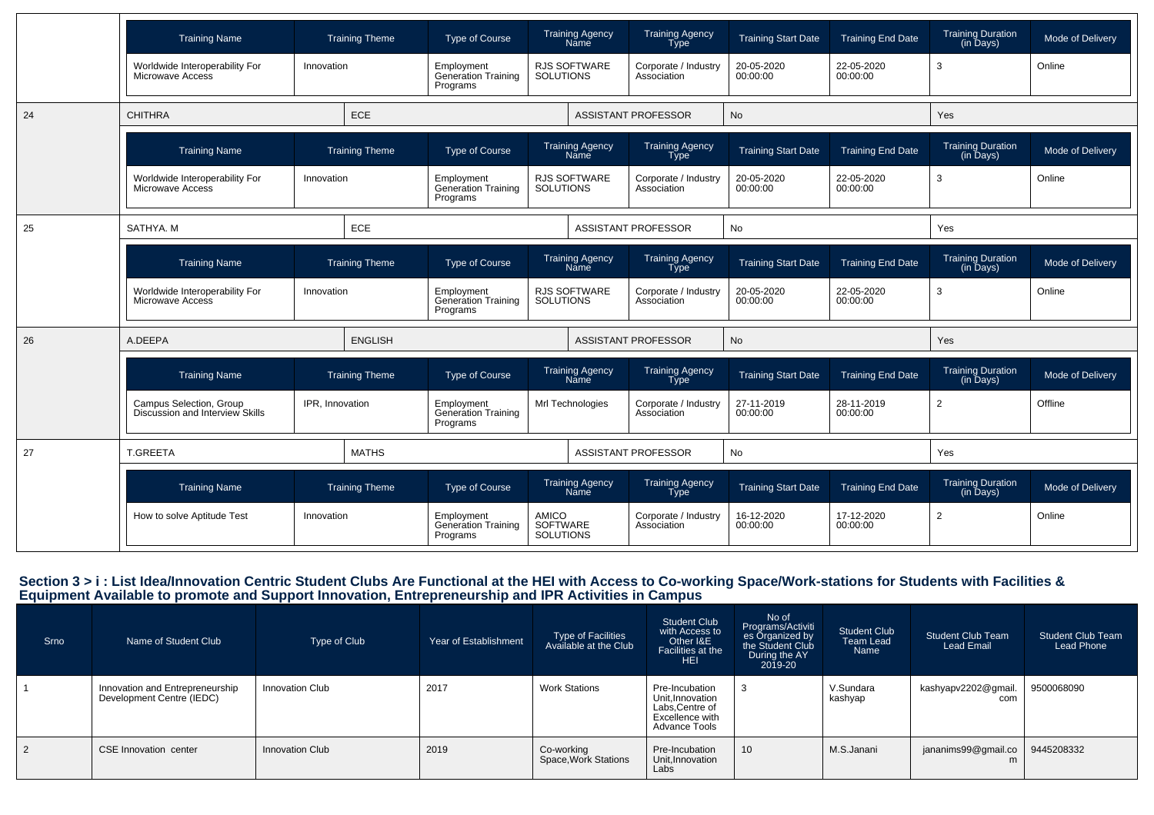|    | <b>Training Name</b>                                       |                 | <b>Training Theme</b> | <b>Type of Course</b>                                |                                              | <b>Training Agency</b><br>Name        | <b>Training Agency</b><br>Type        | <b>Training Start Date</b> | <b>Training End Date</b> | <b>Training Duration</b><br>(in Days)               | Mode of Delivery |
|----|------------------------------------------------------------|-----------------|-----------------------|------------------------------------------------------|----------------------------------------------|---------------------------------------|---------------------------------------|----------------------------|--------------------------|-----------------------------------------------------|------------------|
|    | Worldwide Interoperability For<br>Microwave Access         | Innovation      |                       | Employment<br><b>Generation Training</b><br>Programs | <b>SOLUTIONS</b>                             | <b>RJS SOFTWARE</b>                   | Corporate / Industry<br>Association   | 20-05-2020<br>00:00:00     | 22-05-2020<br>00:00:00   | 3                                                   | Online           |
| 24 | <b>CHITHRA</b>                                             |                 | ECE                   |                                                      |                                              |                                       | <b>ASSISTANT PROFESSOR</b>            | No                         |                          | Yes                                                 |                  |
|    | <b>Training Name</b>                                       |                 | <b>Training Theme</b> | Type of Course                                       |                                              | <b>Training Agency</b><br>Name        | <b>Training Agency</b><br>Type        | <b>Training Start Date</b> | <b>Training End Date</b> | <b>Training Duration</b><br>$(in \overline{D}$ ays) | Mode of Delivery |
|    | Worldwide Interoperability For<br>Microwave Access         | Innovation      |                       | Employment<br>Generation Training<br>Programs        | <b>SOLUTIONS</b>                             | <b>RJS SOFTWARE</b>                   | Corporate / Industry<br>Association   | 20-05-2020<br>00:00:00     | 22-05-2020<br>00:00:00   | 3                                                   | Online           |
| 25 | SATHYA, M                                                  |                 | ECE                   |                                                      |                                              |                                       | <b>ASSISTANT PROFESSOR</b>            | No                         |                          | Yes                                                 |                  |
|    | <b>Training Name</b>                                       |                 | <b>Training Theme</b> | <b>Type of Course</b>                                |                                              | <b>Training Agency</b><br>Name        | <b>Training Agency</b><br>Type        | <b>Training Start Date</b> | <b>Training End Date</b> | <b>Training Duration</b><br>(in Days)               | Mode of Delivery |
|    | Worldwide Interoperability For<br>Microwave Access         | Innovation      |                       | Employment<br><b>Generation Training</b><br>Programs | <b>SOLUTIONS</b>                             | <b>RJS SOFTWARE</b>                   | Corporate / Industry<br>Association   | 20-05-2020<br>00:00:00     | 22-05-2020<br>00:00:00   | 3                                                   | Online           |
| 26 | A.DEEPA                                                    |                 | <b>ENGLISH</b>        |                                                      |                                              |                                       | <b>ASSISTANT PROFESSOR</b>            | No                         |                          | Yes                                                 |                  |
|    | <b>Training Name</b>                                       |                 | <b>Training Theme</b> | <b>Type of Course</b>                                |                                              | <b>Training Agency</b><br><b>Name</b> | <b>Training Agency</b><br>Type        | <b>Training Start Date</b> | <b>Training End Date</b> | <b>Training Duration</b><br>(in Days)               | Mode of Delivery |
|    | Campus Selection, Group<br>Discussion and Interview Skills | IPR. Innovation |                       | Employment<br><b>Generation Training</b><br>Programs |                                              | Mrl Technologies                      | Corporate / Industry<br>Association   | 27-11-2019<br>00:00:00     | 28-11-2019<br>00:00:00   | $\overline{2}$                                      | Offline          |
| 27 | <b>T.GREETA</b>                                            |                 | <b>MATHS</b>          |                                                      |                                              |                                       | <b>ASSISTANT PROFESSOR</b>            | No                         |                          | Yes                                                 |                  |
|    | <b>Training Name</b>                                       |                 | <b>Training Theme</b> | <b>Type of Course</b>                                |                                              | <b>Training Agency</b><br>Name        | <b>Training Agency</b><br><b>Type</b> | <b>Training Start Date</b> | <b>Training End Date</b> | <b>Training Duration</b><br>(in Days)               | Mode of Delivery |
|    | How to solve Aptitude Test                                 | Innovation      |                       | Employment<br><b>Generation Training</b><br>Programs | <b>AMICO</b><br>SOFTWARE<br><b>SOLUTIONS</b> |                                       | Corporate / Industry<br>Association   | 16-12-2020<br>00:00:00     | 17-12-2020<br>00:00:00   | 2                                                   | Online           |

### Section 3 > i : List Idea/Innovation Centric Student Clubs Are Functional at the HEI with Access to Co-working Space/Work-stations for Students with Facilities &<br>Equipment Available to promote and Support Innovation, Entre

| Srno           | Name of Student Club                                         | Type of Club           | Year of Establishment | Type of Facilities<br>Available at the Club | <b>Student Club</b><br>with Access to<br>Other I&E<br>Facilities at the<br><b>HEI</b>    | No of<br>Programs/Activiti<br>es Organized by<br>During the AY<br>2019-20 | <b>Student Club</b><br><b>Team Lead</b><br>Name | <b>Student Club Team</b><br>Lead Email | <b>Student Club Team</b><br>Lead Phone |
|----------------|--------------------------------------------------------------|------------------------|-----------------------|---------------------------------------------|------------------------------------------------------------------------------------------|---------------------------------------------------------------------------|-------------------------------------------------|----------------------------------------|----------------------------------------|
|                | Innovation and Entrepreneurship<br>Development Centre (IEDC) | Innovation Club        | 2017                  | <b>Work Stations</b>                        | Pre-Incubation<br>Unit.Innovation<br>Labs, Centre of<br>Excellence with<br>Advance Tools | -3                                                                        | V.Sundara<br>kashyap                            | kashyapv2202@gmail.<br>com             | 9500068090                             |
| $\overline{2}$ | CSE Innovation center                                        | <b>Innovation Club</b> | 2019                  | Co-working<br>Space, Work Stations          | Pre-Incubation<br>Unit.Innovation<br>Labs                                                | 10                                                                        | M.S.Janani                                      | jananims99@gmail.co   9445208332       |                                        |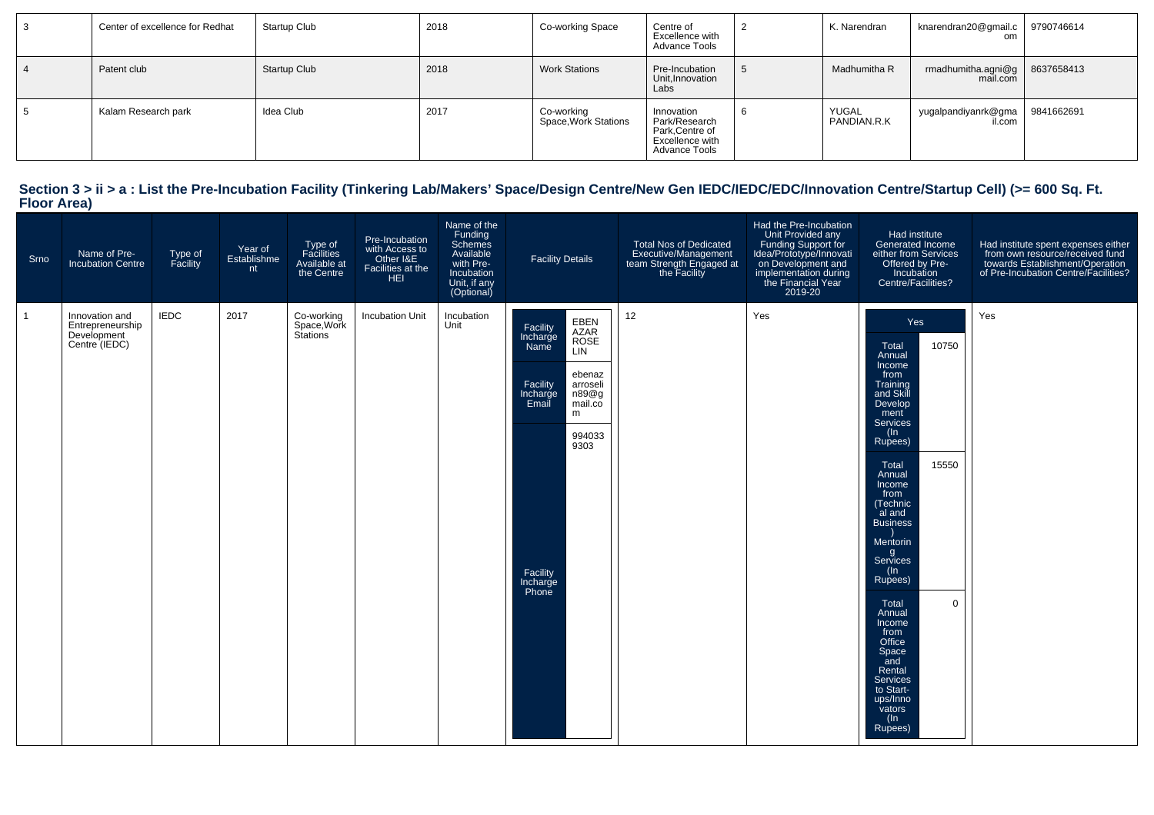| Center of excellence for Redhat | Startup Club        | 2018 | Co-working Space                   | Centre of<br>Excellence with<br>Advance Tools                                             |    | K. Narendran         | knarendran20@gmail.c   9790746614           |  |
|---------------------------------|---------------------|------|------------------------------------|-------------------------------------------------------------------------------------------|----|----------------------|---------------------------------------------|--|
| Patent club                     | <b>Startup Club</b> | 2018 | <b>Work Stations</b>               | Pre-Incubation<br>Unit, Innovation<br>Labs                                                |    | Madhumitha R         | rmadhumitha.agni@g   8637658413<br>mail.com |  |
| Kalam Research park             | Idea Club           | 2017 | Co-working<br>Space, Work Stations | Innovation<br>Park/Research<br>Park, Centre of<br>Excellence with<br><b>Advance Tools</b> | -6 | YUGAL<br>PANDIAN.R.K | yugalpandiyanrk@gma   9841662691<br>il.com  |  |

# **Section 3 > ii > a : List the Pre-Incubation Facility (Tinkering Lab/Makers' Space/Design Centre/New Gen IEDC/IEDC/EDC/Innovation Centre/Startup Cell) (>= 600 Sq. Ft. Floor Area)**

| Srno         | Name of Pre-<br>Incubation Centre                                  | Type of<br>Facility | Year of<br>Establishme<br>nt | Type of<br>Facilities<br>Available at<br>the Centre | Pre-Incubation<br>with Access to<br>Other I&E<br>Facilities at the<br><b>HEL</b> | Name of the<br>Funding<br>Schemes<br>Available<br>with Pre-<br>Incubation<br>Unit, if any<br>(Optional) | <b>Facility Details</b>                                                                                                                                                                               | Total Nos of Dedicated<br>Executive/Management<br>team Strength Engaged at<br>the Facility | Had the Pre-Incubation<br>Unit Provided any<br>Funding Support for<br>Idea/Prototype/Innovati<br>on Development and<br>implementation during<br>the Financial Year<br>2019-20 | Had institute<br>Generated Income<br>either from Services<br>Offered by Pre-<br>Incubation<br>Centre/Facilities?                                                                                                                                                                                                                                                                                                                 | Had institute spent expenses either<br>from own resource/received fund<br>towards Establishment/Operation<br>of Pre-Incubation Centre/Facilities? |
|--------------|--------------------------------------------------------------------|---------------------|------------------------------|-----------------------------------------------------|----------------------------------------------------------------------------------|---------------------------------------------------------------------------------------------------------|-------------------------------------------------------------------------------------------------------------------------------------------------------------------------------------------------------|--------------------------------------------------------------------------------------------|-------------------------------------------------------------------------------------------------------------------------------------------------------------------------------|----------------------------------------------------------------------------------------------------------------------------------------------------------------------------------------------------------------------------------------------------------------------------------------------------------------------------------------------------------------------------------------------------------------------------------|---------------------------------------------------------------------------------------------------------------------------------------------------|
| $\mathbf{1}$ | Innovation and<br>Entrepreneurship<br>Development<br>Centre (IEDC) | <b>IEDC</b>         | 2017                         | Co-working<br>Space, Work<br>Stations               | <b>Incubation Unit</b>                                                           | Incubation<br>Unit                                                                                      | EBEN<br>AZAR<br>ROSE<br>Facility<br>Incharge<br>Name<br><b>LIN</b><br>ebenaz<br>Facility<br>arroseli<br>n89@g<br>Incharge<br>mail.co<br>Email<br>m<br>994033<br>9303<br>Facility<br>Incharge<br>Phone | 12                                                                                         | Yes                                                                                                                                                                           | Yes<br>10750<br>Total<br>Annual<br>Income<br>from<br>Training<br>and Skill<br>Develop<br>ment<br>Services<br>$($ ln<br>Rupees)<br>15550<br>Total<br>Annual<br>Income<br>from<br>(Technic<br>al and<br><b>Business</b><br>Mentorin<br>g<br>Services<br>$($ ln<br>Rupees)<br>$\mathbf 0$<br>Total<br>Annual<br>Income<br>from<br>Office<br>Space<br>and<br>Rental<br>Services<br>to Start-<br>ups/Inno<br>vators<br>(In<br>Rupees) | Yes                                                                                                                                               |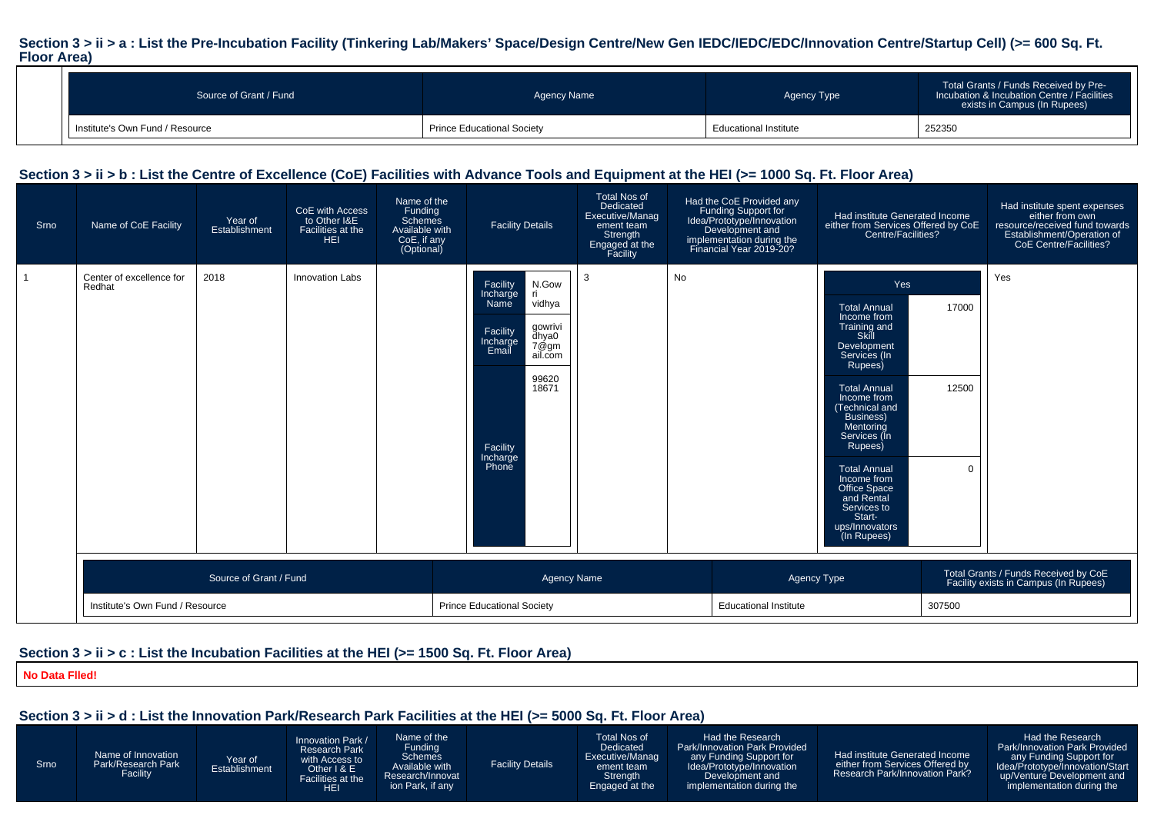#### Section  $3 > i$  i > a : List the Pre-Incubation Facility (Tinkering Lab/Makers' Space/Design Centre/New Gen IEDC/IEDC/EDC/Innovation Centre/Startup Cell) (>= 600 Sq. Ft. **Floor Area)**

| Source of Grant / Fund          | Agency Name                       | Agency Type                  | Total Grants / Funds Received by Pre-<br>Incubation & Incubation Centre / Facilities<br>exists in Campus (In Rupees) |
|---------------------------------|-----------------------------------|------------------------------|----------------------------------------------------------------------------------------------------------------------|
| Institute's Own Fund / Resource | <b>Prince Educational Society</b> | <b>Educational Institute</b> | 252350                                                                                                               |

#### **Section 3 > ii > b : List the Centre of Excellence (CoE) Facilities with Advance Tools and Equipment at the HEI (>= 1000 Sq. Ft. Floor Area)**

| Srno | Name of CoE Facility               | Year of<br>Establishment | CoE with Access<br>to Other I&E<br>Facilities at the<br><b>HEI</b> | Name of the<br>Funding<br>Schemes<br>Available with<br>CoE, if any<br>(Optional) | <b>Facility Details</b>                                                                                                                                                           | <b>Total Nos of</b><br>Dedicated<br>Executive/Manag<br>ement team<br>Strength<br>Engaged at the<br>Facility |    | Had the CoE Provided any<br>Funding Support for<br>Idea/Prototype/Innovation<br>Development and<br>implementation during the<br>Financial Year 2019-20? | Had institute Generated Income<br>either from Services Offered by CoE<br>Centre/Facilities?                                                                                                                                                                                                                                                                    |                            | Had institute spent expenses<br>either from own<br>resource/received fund towards<br>Establishment/Operation of<br>CoE Centre/Facilities? |  |
|------|------------------------------------|--------------------------|--------------------------------------------------------------------|----------------------------------------------------------------------------------|-----------------------------------------------------------------------------------------------------------------------------------------------------------------------------------|-------------------------------------------------------------------------------------------------------------|----|---------------------------------------------------------------------------------------------------------------------------------------------------------|----------------------------------------------------------------------------------------------------------------------------------------------------------------------------------------------------------------------------------------------------------------------------------------------------------------------------------------------------------------|----------------------------|-------------------------------------------------------------------------------------------------------------------------------------------|--|
|      | Center of excellence for<br>Redhat | 2018                     | <b>Innovation Labs</b>                                             |                                                                                  | Facility<br>N.Gow<br>Incharge<br>Name<br>-ri<br>vidhya<br>gowrivi<br>dhya0<br>7@gm<br>Facility<br>Incharge<br>Email<br>ail.com<br>99620<br>18671<br>Facility<br>Incharge<br>Phone | 3                                                                                                           | No |                                                                                                                                                         | Yes<br><b>Total Annual</b><br>Income from<br>Training and<br>Skill<br>Development<br>Services (In<br>Rupees)<br><b>Total Annual</b><br>Income from<br>Technical and<br><b>Business</b> )<br>Mentoring<br>Services (In<br>Rupees)<br><b>Total Annual</b><br>Income from<br>Office Space<br>and Rental<br>Services to<br>Start-<br>ups/Innovators<br>(In Rupees) | 17000<br>12500<br>$\Omega$ | Yes                                                                                                                                       |  |
|      | Source of Grant / Fund             |                          |                                                                    |                                                                                  | <b>Agency Name</b>                                                                                                                                                                |                                                                                                             |    | Agency Type                                                                                                                                             |                                                                                                                                                                                                                                                                                                                                                                |                            | Total Grants / Funds Received by CoE<br>Facility exists in Campus (In Rupees)                                                             |  |
|      | Institute's Own Fund / Resource    |                          |                                                                    |                                                                                  | <b>Prince Educational Society</b>                                                                                                                                                 |                                                                                                             |    | <b>Educational Institute</b>                                                                                                                            |                                                                                                                                                                                                                                                                                                                                                                |                            |                                                                                                                                           |  |

#### **Section 3 > ii > c : List the Incubation Facilities at the HEI (>= 1500 Sq. Ft. Floor Area)**

**No Data Flled!**

#### **Section 3 > ii > d : List the Innovation Park/Research Park Facilities at the HEI (>= 5000 Sq. Ft. Floor Area)**

SrnoName of Innovation Park/Research Park FacilityYear of EstablishmentInnovation Park / Research Park with Access to Other I & E Facilities at the**HEI** Name of the Funding Schemes Available with Research/Innovation Park, if anyFacility DetailsTotal Nos of Dedicated Executive/Management team Strength Engaged at theHad the Research Park/Innovation Park Providedany Funding Support for Idea/Prototype/InnovationDevelopment and implementation during theHad institute Generated Income either from Services Offered by Research Park/Innovation Park?Had the Research Park/Innovation Park Provided any Funding Support for Idea/Prototype/Innovation/Start up/Venture Development andimplementation during the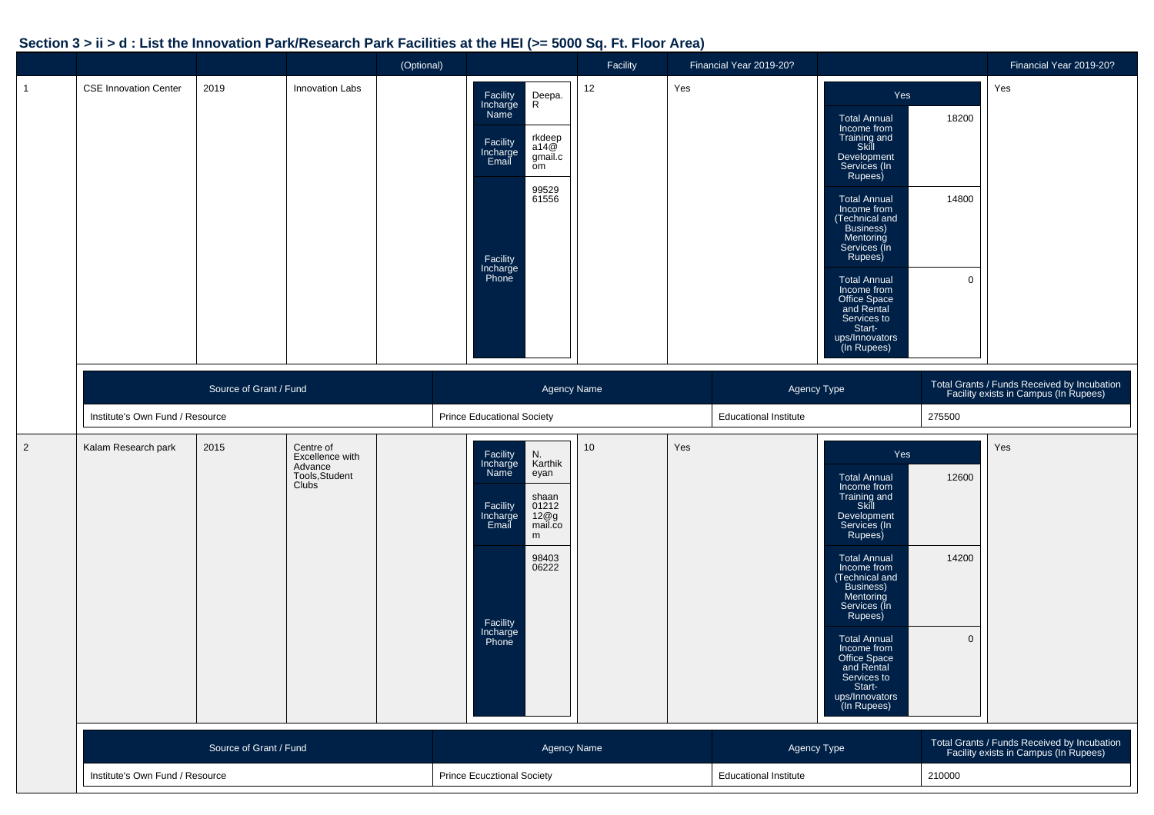#### **Section 3 > ii > d : List the Innovation Park/Research Park Facilities at the HEI (>= 5000 Sq. Ft. Floor Area)**

|                |                                 |                        |                                                                           | (Optional) |                                                                                                                                                                                     | Facility |     | Financial Year 2019-20?                |                                                                                                                                                                                                                                                                                                                                                         |                               | Financial Year 2019-20?                                                              |
|----------------|---------------------------------|------------------------|---------------------------------------------------------------------------|------------|-------------------------------------------------------------------------------------------------------------------------------------------------------------------------------------|----------|-----|----------------------------------------|---------------------------------------------------------------------------------------------------------------------------------------------------------------------------------------------------------------------------------------------------------------------------------------------------------------------------------------------------------|-------------------------------|--------------------------------------------------------------------------------------|
| $\overline{1}$ | <b>CSE Innovation Center</b>    | 2019                   | Innovation Labs                                                           |            | Deepa.<br>R<br>Facility<br>Incharge<br>Name<br>rkdeep<br>a14@<br>Facility<br>Incharge<br>Email<br>gmail.c<br>om<br>99529<br>61556<br>Facility<br>Incharge<br>Phone                  | 12       | Yes |                                        | Yes<br><b>Total Annual</b><br>Income from<br>Training and<br>Skill<br>Development<br>Services (In<br>Rupees)<br><b>Total Annual</b><br>Income from<br>(Technical and<br>Business)<br>Mentoring<br>Services (In<br>Rupees)<br><b>Total Annual</b><br>Income from<br>Office Space<br>and Rental<br>Services to<br>Start-<br>ups/Innovators<br>(In Rupees) | 18200<br>14800<br>$\mathbf 0$ | Yes                                                                                  |
|                |                                 | Source of Grant / Fund |                                                                           |            | <b>Agency Name</b>                                                                                                                                                                  |          |     | Agency Type                            |                                                                                                                                                                                                                                                                                                                                                         |                               | Total Grants / Funds Received by Incubation<br>Facility exists in Campus (In Rupees) |
|                | Institute's Own Fund / Resource |                        |                                                                           |            | <b>Prince Educational Society</b>                                                                                                                                                   |          |     | <b>Educational Institute</b>           |                                                                                                                                                                                                                                                                                                                                                         | 275500                        |                                                                                      |
| $\overline{2}$ | Kalam Research park             | 2015                   | Centre of<br>Excellence with<br>Advance<br>Tools, Student<br><b>Clubs</b> |            | Facility<br>N.<br>Incharge<br>Name<br>Karthik<br>eyan<br>shaan<br>Facility<br>Incharge<br>Email<br>01212<br>12@g<br>mail.co<br>m<br>98403<br>06222<br>Facility<br>Incharge<br>Phone | 10       | Yes |                                        | Yes<br><b>Total Annual</b><br>Income from<br>Training and<br>Skill<br>Development<br>Services (In<br>Rupees)<br><b>Total Annual</b><br>Income from<br>(Technical and<br>Business)<br>Mentoring<br>Services (In<br>Rupees)<br><b>Total Annual</b><br>Income from<br>Office Space<br>and Rental<br>Services to<br>Start-<br>ups/Innovators<br>(In Rupees) | 12600<br>14200<br>$\mathbf 0$ | Yes                                                                                  |
|                | Source of Grant / Fund          |                        |                                                                           |            | Agency Name                                                                                                                                                                         |          |     | Agency Type                            |                                                                                                                                                                                                                                                                                                                                                         |                               | Total Grants / Funds Received by Incubation<br>Facility exists in Campus (In Rupees) |
|                | Institute's Own Fund / Resource |                        |                                                                           |            | <b>Prince Ecucztional Society</b>                                                                                                                                                   |          |     | 210000<br><b>Educational Institute</b> |                                                                                                                                                                                                                                                                                                                                                         |                               |                                                                                      |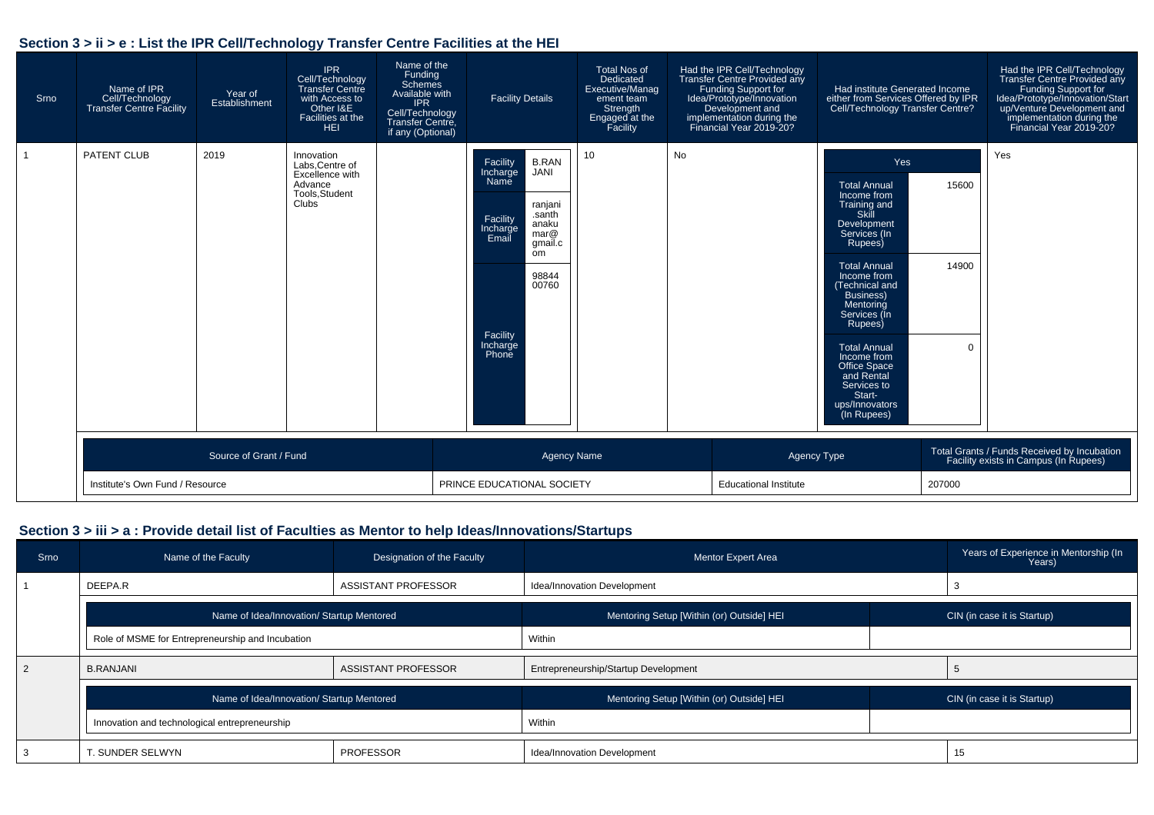#### **Section 3 > ii > e : List the IPR Cell/Technology Transfer Centre Facilities at the HEI**

| Srno | Name of IPR<br>Cell/Technology<br><b>Transfer Centre Facility</b> | Year of<br>Establishment | <b>IPR</b><br>Cell/Technology<br><b>Transfer Centre</b><br>with Access to<br>Other I&E<br>Facilities at the<br><b>HEI</b> | Name of the<br>Funding<br>Schemes<br>Available with<br><b>IPR</b><br>Cell/Technology<br>Transfer Centre.<br>if any (Optional) |  | <b>Facility Details</b>                                                                                                                                                                               | <b>Total Nos of</b><br>Dedicated<br>Executive/Manag<br>ement team<br>Strength<br>Engaged at the<br>Facility |                              | Had the IPR Cell/Technology<br>Transfer Centre Provided any<br>Funding Support for<br>Idea/Prototype/Innovation<br>Development and<br>implementation during the<br>Financial Year 2019-20? | Had institute Generated Income<br>either from Services Offered by IPR<br>Cell/Technology Transfer Centre?                                                                                                                                                                                                                                               |                            | Had the IPR Cell/Technology<br>Transfer Centre Provided any<br><b>Funding Support for</b><br>Idea/Prototype/Innovation/Start<br>up/Venture Development and<br>implementation during the<br>Financial Year 2019-20? |
|------|-------------------------------------------------------------------|--------------------------|---------------------------------------------------------------------------------------------------------------------------|-------------------------------------------------------------------------------------------------------------------------------|--|-------------------------------------------------------------------------------------------------------------------------------------------------------------------------------------------------------|-------------------------------------------------------------------------------------------------------------|------------------------------|--------------------------------------------------------------------------------------------------------------------------------------------------------------------------------------------|---------------------------------------------------------------------------------------------------------------------------------------------------------------------------------------------------------------------------------------------------------------------------------------------------------------------------------------------------------|----------------------------|--------------------------------------------------------------------------------------------------------------------------------------------------------------------------------------------------------------------|
|      | <b>PATENT CLUB</b>                                                | 2019                     | Innovation<br>Labs.Centre of<br>Excellence with<br>Advance<br>Tools, Student<br>Clubs <sup>1</sup>                        |                                                                                                                               |  | Facility<br><b>B.RAN</b><br>Incharge<br><b>JANI</b><br>Name<br>ranjani<br>santh<br>Facility<br>anaku<br>Incharge<br>mar@<br>Email<br>gmail.c<br>om<br>98844<br>00760<br>Facility<br>Incharge<br>Phone | 10                                                                                                          | No                           |                                                                                                                                                                                            | Yes<br><b>Total Annual</b><br>Income from<br>Training and<br>Skill<br>Development<br>Services (In<br>Rupees)<br><b>Total Annual</b><br>Income from<br>(Technical and<br>Business)<br>Mentoring<br>Services (In<br>Rupees)<br><b>Total Annual</b><br>Income from<br>Office Space<br>and Rental<br>Services to<br>Start-<br>ups/Innovators<br>(In Rupees) | 15600<br>14900<br>$\Omega$ | Yes                                                                                                                                                                                                                |
|      |                                                                   | Source of Grant / Fund   |                                                                                                                           |                                                                                                                               |  |                                                                                                                                                                                                       | <b>Agency Name</b>                                                                                          |                              | Agency Type                                                                                                                                                                                |                                                                                                                                                                                                                                                                                                                                                         |                            | Total Grants / Funds Received by Incubation<br>Facility exists in Campus (In Rupees)                                                                                                                               |
|      | Institute's Own Fund / Resource                                   |                          |                                                                                                                           | PRINCE EDUCATIONAL SOCIETY                                                                                                    |  |                                                                                                                                                                                                       |                                                                                                             | <b>Educational Institute</b> |                                                                                                                                                                                            | 207000                                                                                                                                                                                                                                                                                                                                                  |                            |                                                                                                                                                                                                                    |

#### **Section 3 > iii > a : Provide detail list of Faculties as Mentor to help Ideas/Innovations/Startups**

| Srno | Name of the Faculty                              | Designation of the Faculty | <b>Mentor Expert Area</b>                 | Years of Experience in Mentorship (In<br>Years) |
|------|--------------------------------------------------|----------------------------|-------------------------------------------|-------------------------------------------------|
|      | DEEPA.R                                          | ASSISTANT PROFESSOR        | Idea/Innovation Development               |                                                 |
|      | Name of Idea/Innovation/ Startup Mentored        |                            | Mentoring Setup [Within (or) Outside] HEI | CIN (in case it is Startup)                     |
|      | Role of MSME for Entrepreneurship and Incubation |                            | Within                                    |                                                 |
|      | <b>B.RANJANI</b>                                 | ASSISTANT PROFESSOR        | Entrepreneurship/Startup Development      |                                                 |
|      | Name of Idea/Innovation/ Startup Mentored        |                            | Mentoring Setup [Within (or) Outside] HEI | CIN (in case it is Startup)                     |
|      | Innovation and technological entrepreneurship    |                            | Within                                    |                                                 |
|      | T. SUNDER SELWYN<br><b>PROFESSOR</b>             |                            | Idea/Innovation Development               | 15                                              |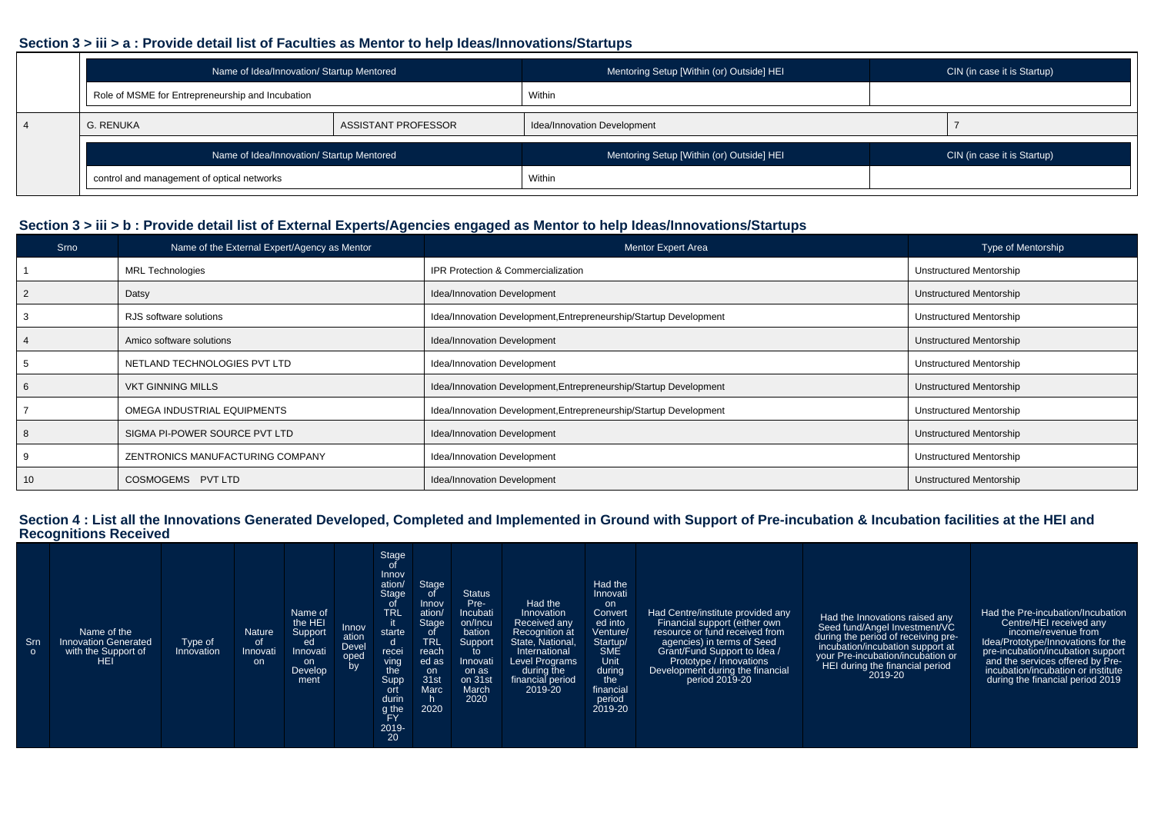#### **Section 3 > iii > a : Provide detail list of Faculties as Mentor to help Ideas/Innovations/Startups**

| Name of Idea/Innovation/ Startup Mentored        |                     | Mentoring Setup [Within (or) Outside] HEI | CIN (in case it is Startup) |
|--------------------------------------------------|---------------------|-------------------------------------------|-----------------------------|
| Role of MSME for Entrepreneurship and Incubation |                     | Within                                    |                             |
| <b>G. RENUKA</b>                                 | ASSISTANT PROFESSOR | Idea/Innovation Development               |                             |
| Name of Idea/Innovation/ Startup Mentored        |                     | Mentoring Setup [Within (or) Outside] HEI | CIN (in case it is Startup) |
| control and management of optical networks       |                     | Within                                    |                             |

#### **Section 3 > iii > b : Provide detail list of External Experts/Agencies engaged as Mentor to help Ideas/Innovations/Startups**

| Srno | Name of the External Expert/Agency as Mentor | <b>Mentor Expert Area</b>                                         | Type of Mentorship      |
|------|----------------------------------------------|-------------------------------------------------------------------|-------------------------|
|      | <b>MRL Technologies</b>                      | <b>IPR Protection &amp; Commercialization</b>                     | Unstructured Mentorship |
|      | Datsy                                        | Idea/Innovation Development                                       | Unstructured Mentorship |
|      | RJS software solutions                       | Idea/Innovation Development, Entrepreneurship/Startup Development | Unstructured Mentorship |
|      | Amico software solutions                     | Idea/Innovation Development                                       | Unstructured Mentorship |
|      | NETLAND TECHNOLOGIES PVT LTD                 | Idea/Innovation Development                                       | Unstructured Mentorship |
|      | <b>VKT GINNING MILLS</b>                     | Idea/Innovation Development, Entrepreneurship/Startup Development | Unstructured Mentorship |
|      | OMEGA INDUSTRIAL EQUIPMENTS                  | Idea/Innovation Development, Entrepreneurship/Startup Development | Unstructured Mentorship |
|      | SIGMA PI-POWER SOURCE PVT LTD                | Idea/Innovation Development                                       | Unstructured Mentorship |
|      | ZENTRONICS MANUFACTURING COMPANY             | Idea/Innovation Development                                       | Unstructured Mentorship |
| 10   | COSMOGEMS PVT LTD                            | Idea/Innovation Development                                       | Unstructured Mentorship |

### **Section 4 : List all the Innovations Generated Developed, Completed and Implemented in Ground with Support of Pre-incubation & Incubation facilities at the HEI and Recognitions Received**

| - Srn<br>$\circ$ | Name of the<br><b>Innovation Generated</b><br>with the Support of<br><b>HEI</b> | Type of<br>Innovation | <b>Nature</b><br>of<br>Innovati<br><b>on</b> | Name of<br>the HEI<br>Support<br>ed<br>Innovati<br>on<br><b>Develop</b><br>ment | Innov<br>ation<br><b>Devel</b><br>oped<br>by | Stage<br>Innov<br>ation/<br><b>Stage</b><br><b>TRL</b><br>starte<br>d<br>recei<br>ving<br>the<br>Supp<br>ort<br>durin<br>g the<br>ΈY | Stage<br>Innov<br>ation/<br>Stage<br>O<br><b>TRL</b><br>reach<br>ed as<br>on.<br>31st<br>Marc<br>2020 | <b>Status</b><br>Pre-<br>Incubati<br>on/Incu<br>bation<br>Support<br>to<br>Innovati<br>on as<br>on 31st<br>March<br>2020 | Had the<br>Innovation<br>Received any<br>Recognition at<br>State, National,<br>International<br><b>Level Programs</b><br>during the<br>financial period<br>2019-20 | Had the<br>Innovati<br>on<br>Convert<br>ed into<br>Venture/<br>Startup/<br><b>SME</b><br>Unit<br>during<br>the <b>le</b><br>financial<br>period<br>2019-20 | Had Centre/institute provided any<br>Financial support (either own<br>resource or fund received from<br>agencies) in terms of Seed<br>Grant/Fund Support to Idea /<br>Prototype / Innovations<br>Development during the financial<br>period 2019-20 | Had the Innovations raised any<br>Seed fund/Angel Investment/VC<br>during the period of receiving pre-<br>incubation/incubation support at<br>your Pre-incubation/incubation or<br>HEI during the financial period<br>2019-20 | Had the Pre-incubation/Incubation<br>Centre/HEI received any<br>income/revenue from<br>Idea/Prototype/Innovations for the<br>pre-incubation/incubation support<br>and the services offered by Pre-<br>incubation/incubation or institute<br>during the financial period 2019 |
|------------------|---------------------------------------------------------------------------------|-----------------------|----------------------------------------------|---------------------------------------------------------------------------------|----------------------------------------------|--------------------------------------------------------------------------------------------------------------------------------------|-------------------------------------------------------------------------------------------------------|--------------------------------------------------------------------------------------------------------------------------|--------------------------------------------------------------------------------------------------------------------------------------------------------------------|------------------------------------------------------------------------------------------------------------------------------------------------------------|-----------------------------------------------------------------------------------------------------------------------------------------------------------------------------------------------------------------------------------------------------|-------------------------------------------------------------------------------------------------------------------------------------------------------------------------------------------------------------------------------|------------------------------------------------------------------------------------------------------------------------------------------------------------------------------------------------------------------------------------------------------------------------------|
|                  |                                                                                 |                       |                                              |                                                                                 |                                              | 2019-<br>20                                                                                                                          |                                                                                                       |                                                                                                                          |                                                                                                                                                                    |                                                                                                                                                            |                                                                                                                                                                                                                                                     |                                                                                                                                                                                                                               |                                                                                                                                                                                                                                                                              |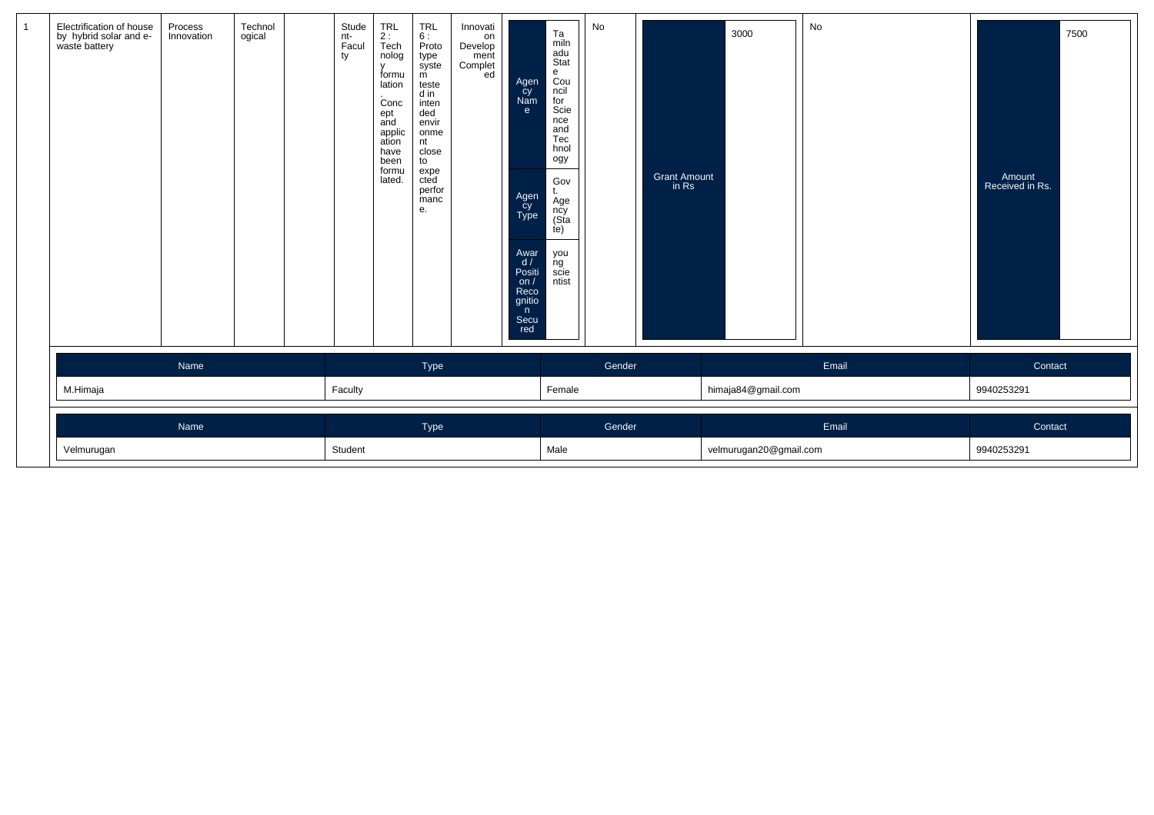| $\mathbf{1}$ | Electrification of house<br>by hybrid solar and e-<br>waste battery | Process<br>Innovation | Technol<br>ogical | Stude<br>nt-<br>Facul<br>ty | TRL<br>2 :<br>Tech<br>nolog<br>$\mathsf{v}$<br>formu<br>lation<br>Conc<br>ept<br>and<br>applic<br>ation<br>have<br>been<br>formu<br>lated. | TRL<br>6 :<br>Proto<br>type<br>syste<br>m<br>teste<br>d in<br>inten<br>ded<br>envir<br>onme<br>nt<br>close<br>to<br>expe<br>cted<br>perfor<br>manc<br>е. | Innovati<br>on<br>Develop<br>ment<br>Complet<br>ed | Agen<br>cy<br>Nam<br>e<br>Agen<br>Cy<br>Type<br>Awar<br>d/<br>Positi<br>on $/$<br>Reco<br>gnitio<br>n<br>Secu<br>red | Ta<br>miln<br>adu<br>Stat<br>$_{\text{Cou}}^{\text{e}}$<br>ncil<br>for<br>Scie<br>nce<br>and<br>Tec<br>hnol<br>ogy<br>Gov<br>Äge<br>ncy<br>(Sta<br>te)<br>you<br>ng<br>scie<br>ntist | No     | Grant Amount<br>in Rs | 3000                   | No    | 7500<br>Amount<br>Received in Rs. |
|--------------|---------------------------------------------------------------------|-----------------------|-------------------|-----------------------------|--------------------------------------------------------------------------------------------------------------------------------------------|----------------------------------------------------------------------------------------------------------------------------------------------------------|----------------------------------------------------|----------------------------------------------------------------------------------------------------------------------|--------------------------------------------------------------------------------------------------------------------------------------------------------------------------------------|--------|-----------------------|------------------------|-------|-----------------------------------|
|              |                                                                     | Name                  |                   |                             |                                                                                                                                            | Type                                                                                                                                                     |                                                    |                                                                                                                      |                                                                                                                                                                                      | Gender |                       |                        | Email | Contact                           |
|              | M.Himaja                                                            |                       |                   | Faculty                     |                                                                                                                                            |                                                                                                                                                          |                                                    |                                                                                                                      | Female                                                                                                                                                                               |        |                       | himaja84@gmail.com     |       | 9940253291                        |
|              |                                                                     | Name                  |                   |                             |                                                                                                                                            | Type                                                                                                                                                     |                                                    |                                                                                                                      |                                                                                                                                                                                      | Gender |                       |                        | Email | Contact                           |
|              | Velmurugan                                                          |                       |                   | Student                     |                                                                                                                                            |                                                                                                                                                          |                                                    |                                                                                                                      | Male                                                                                                                                                                                 |        |                       | velmurugan20@gmail.com |       | 9940253291                        |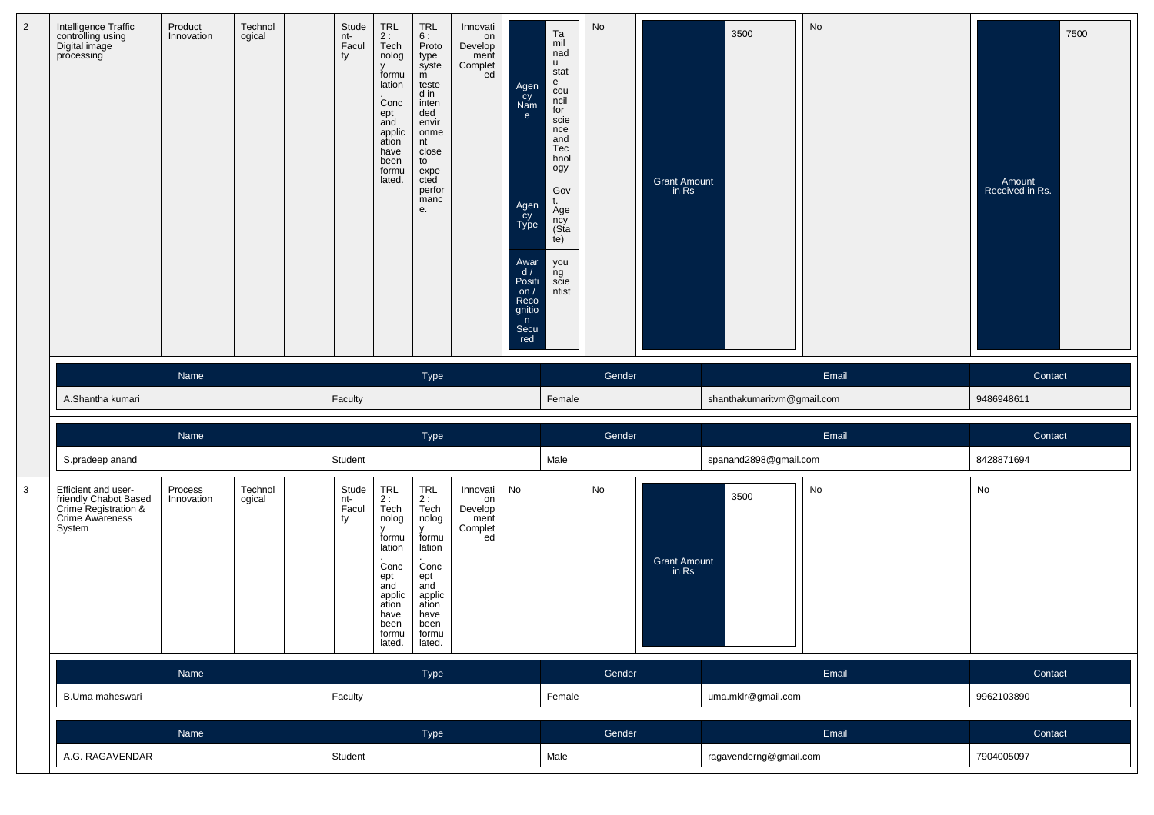| $\overline{2}$ | Intelligence Traffic<br>controlling using<br>Digital image<br>processing                          | Product<br>Innovation | Technol<br>ogical | Stude<br>nt-<br>Facul<br>ty | <b>TRL</b><br>2:<br>Tech<br>nolog<br>v<br>formu<br>lation<br>Conc<br>ept<br>and<br>applic<br>ation<br>have<br>been<br>formu<br>lated. | <b>TRL</b><br>6:<br>Proto<br>type<br>syste<br>$\overline{m}$<br>teste<br>d in<br>inten<br>ded<br>envir<br>onme<br>nt<br>close<br>to<br>expe<br>cted<br>perfor<br>manc<br>е.            | Innovati<br>on<br>Develop<br>ment<br>Complet<br>ed | Agen<br>cy<br>Nam<br>$\mathbf{e}$<br>Agen<br>Cy<br>Type<br>Awar<br>d/<br>Positi<br>on/<br>Reco<br>gnitio<br>n<br>Secu<br>red | Ta<br>mil<br>nad<br><b>u</b><br>stat<br>e<br>cou<br>ncil<br>for<br>scie<br>nce<br>and<br>Tec<br>hnol<br>ogy<br>Gov<br>Age<br>ncy<br>(Sta<br>te)<br>you<br>ng<br>scie<br>ntist | No     | Grant Amount<br>in Rs        | 3500                       | No    | 7500<br>Amount<br>Received in Rs. |
|----------------|---------------------------------------------------------------------------------------------------|-----------------------|-------------------|-----------------------------|---------------------------------------------------------------------------------------------------------------------------------------|----------------------------------------------------------------------------------------------------------------------------------------------------------------------------------------|----------------------------------------------------|------------------------------------------------------------------------------------------------------------------------------|-------------------------------------------------------------------------------------------------------------------------------------------------------------------------------|--------|------------------------------|----------------------------|-------|-----------------------------------|
|                |                                                                                                   | Name                  |                   |                             |                                                                                                                                       | Type                                                                                                                                                                                   |                                                    |                                                                                                                              |                                                                                                                                                                               | Gender |                              |                            | Email | Contact                           |
|                | A.Shantha kumari                                                                                  |                       |                   | Faculty                     |                                                                                                                                       |                                                                                                                                                                                        |                                                    |                                                                                                                              | Female                                                                                                                                                                        |        |                              | shanthakumaritvm@gmail.com |       | 9486948611                        |
|                |                                                                                                   | Name                  |                   |                             |                                                                                                                                       | Type                                                                                                                                                                                   |                                                    |                                                                                                                              |                                                                                                                                                                               | Gender |                              |                            | Email | Contact                           |
|                | S.pradeep anand                                                                                   |                       |                   | Student                     |                                                                                                                                       |                                                                                                                                                                                        |                                                    |                                                                                                                              | Male                                                                                                                                                                          |        |                              | spanand2898@gmail.com      |       | 8428871694                        |
| $\mathbf{3}$   | Efficient and user-<br>friendly Chabot Based<br>Crime Registration &<br>Crime Awareness<br>System | Process<br>Innovation | Technol<br>ogical | Stude<br>nt-<br>Facul<br>ty | TRL<br>2 :<br>Tech<br>nolog<br>v<br>formu<br>lation<br>Conc<br>ept<br>and<br>applic<br>ation<br>have<br>been<br>formu<br>lated.       | $\begin{array}{c} \mathsf{TRL} \\ \mathsf{2}: \end{array}$<br>Tech<br>nolog<br><b>V</b><br>formu<br>lation<br>Conc<br>ept<br>and<br>applic<br>ation<br>have<br>been<br>formu<br>lated. | Innovati<br>on<br>Develop<br>ment<br>Complet<br>ed | No                                                                                                                           |                                                                                                                                                                               | No     | <b>Grant Amount</b><br>in Rs | 3500                       | No    | No                                |
|                |                                                                                                   | Name                  |                   |                             |                                                                                                                                       | Type                                                                                                                                                                                   |                                                    |                                                                                                                              |                                                                                                                                                                               | Gender |                              |                            | Email | Contact                           |
|                | B.Uma maheswari                                                                                   |                       |                   | Faculty                     |                                                                                                                                       |                                                                                                                                                                                        |                                                    |                                                                                                                              | Female                                                                                                                                                                        |        |                              | uma.mklr@gmail.com         |       | 9962103890                        |
|                |                                                                                                   |                       |                   |                             |                                                                                                                                       |                                                                                                                                                                                        |                                                    |                                                                                                                              |                                                                                                                                                                               |        |                              |                            |       |                                   |
|                |                                                                                                   | Name                  |                   |                             |                                                                                                                                       | Type                                                                                                                                                                                   |                                                    |                                                                                                                              |                                                                                                                                                                               | Gender |                              |                            | Email | Contact                           |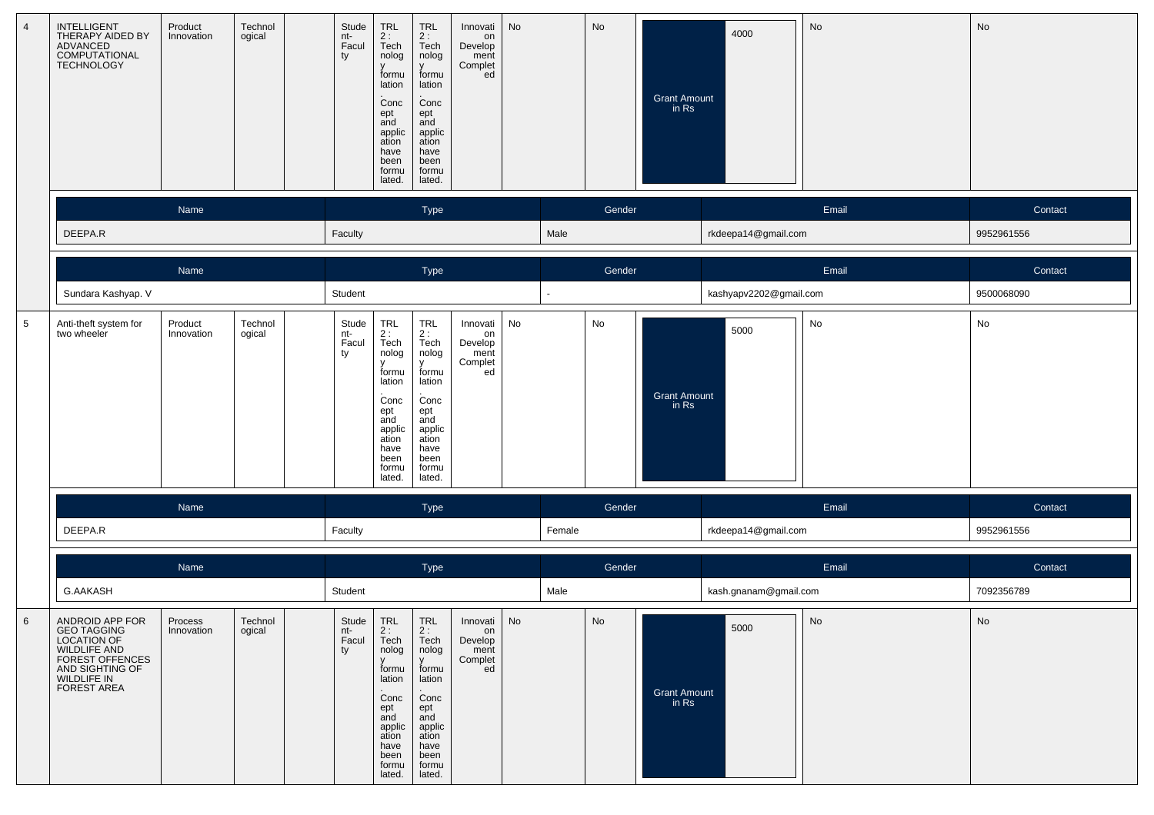| $\overline{4}$ | <b>INTELLIGENT</b><br>THERAPY AIDED BY<br>ADVANCED<br>COMPUTATIONAL<br>TECHNOLOGY                                                              | Product<br>Innovation | Technol<br>ogical | Stude<br>nt-<br>Facul<br>ty | TRL<br>2 :<br>Tech<br>nolog<br>formu<br>lation<br>Conc<br>ept<br>and<br>applic<br>ation<br>have<br>been<br>formu<br>lated.       | TRL<br>$2:$ Tech<br>nolog<br>formu<br>lation<br>Conc<br>ept<br>and<br>applic<br>ation<br>have<br>been<br>formu<br>lated.         | Innovati<br>on<br>Develop<br>ment<br>Complet<br>ed      | No |        | No     | Grant Amount<br>in Rs        | 4000                   | No    | No         |
|----------------|------------------------------------------------------------------------------------------------------------------------------------------------|-----------------------|-------------------|-----------------------------|----------------------------------------------------------------------------------------------------------------------------------|----------------------------------------------------------------------------------------------------------------------------------|---------------------------------------------------------|----|--------|--------|------------------------------|------------------------|-------|------------|
|                |                                                                                                                                                | Name                  |                   |                             |                                                                                                                                  | Type                                                                                                                             |                                                         |    |        | Gender |                              |                        | Email | Contact    |
|                | DEEPA.R                                                                                                                                        |                       |                   | Faculty                     |                                                                                                                                  |                                                                                                                                  |                                                         |    | Male   |        |                              | rkdeepa14@gmail.com    |       | 9952961556 |
|                |                                                                                                                                                | Name                  |                   |                             |                                                                                                                                  | Type                                                                                                                             |                                                         |    |        | Gender |                              |                        | Email | Contact    |
|                | Sundara Kashyap. V                                                                                                                             |                       |                   | Student                     |                                                                                                                                  |                                                                                                                                  |                                                         |    |        |        |                              | kashyapv2202@gmail.com |       | 9500068090 |
| $\overline{5}$ | Anti-theft system for<br>two wheeler                                                                                                           | Product<br>Innovation | Technol<br>ogical | Stude<br>nt-<br>Facul<br>ty | TRL<br>2 :<br>Tech<br>nolog<br>v<br>formu<br>lation<br>Conc<br>ept<br>and<br>applic<br>ation<br>have<br>been<br>formu<br>lated.  | TRL<br>2 :<br>Tech<br>nolog<br>v<br>formu<br>lation<br>Conc<br>ept<br>and<br>applic<br>ation<br>have<br>been<br>formu<br>lated.  | Innovati<br>on<br>Develop<br>ment<br>Complet<br>ed      | No |        | No     | <b>Grant Amount</b><br>in Rs | 5000                   | No    | No         |
|                |                                                                                                                                                | Name                  |                   |                             |                                                                                                                                  | Type                                                                                                                             |                                                         |    |        | Gender |                              |                        | Email | Contact    |
|                | DEEPA.R                                                                                                                                        |                       |                   | Faculty                     |                                                                                                                                  |                                                                                                                                  |                                                         |    | Female |        |                              | rkdeepa14@gmail.com    |       | 9952961556 |
|                |                                                                                                                                                | Name                  |                   |                             |                                                                                                                                  | Type                                                                                                                             |                                                         |    |        | Gender |                              |                        | Email | Contact    |
|                | <b>G.AAKASH</b>                                                                                                                                |                       |                   | Student                     |                                                                                                                                  |                                                                                                                                  |                                                         |    | Male   |        |                              | kash.gnanam@gmail.com  |       | 7092356789 |
| 6              | ANDROID APP FOR<br><b>GEO TAGGING</b><br><b>LOCATION OF</b><br><b>WILDLIFE AND</b><br>FOREST OFFENCES<br>AND SIGHTING OF<br><b>FOREST AREA</b> | Process<br>Innovation | Technol<br>ogical | Stude<br>nt-<br>Facul<br>ty | <b>TRL</b><br>2:<br>Tech<br>nolog<br>formu<br>lation<br>Conc<br>ept<br>and<br>applic<br>ation<br>have<br>been<br>formu<br>lated. | <b>TRL</b><br>2:<br>Tech<br>nolog<br>formu<br>lation<br>Conc<br>ept<br>and<br>applic<br>ation<br>have<br>been<br>formu<br>lated. | Innovati   No<br>on<br>Develop<br>ment<br>Complet<br>ed |    |        | No     | <b>Grant Amount</b><br>in Rs | 5000                   | No    | No         |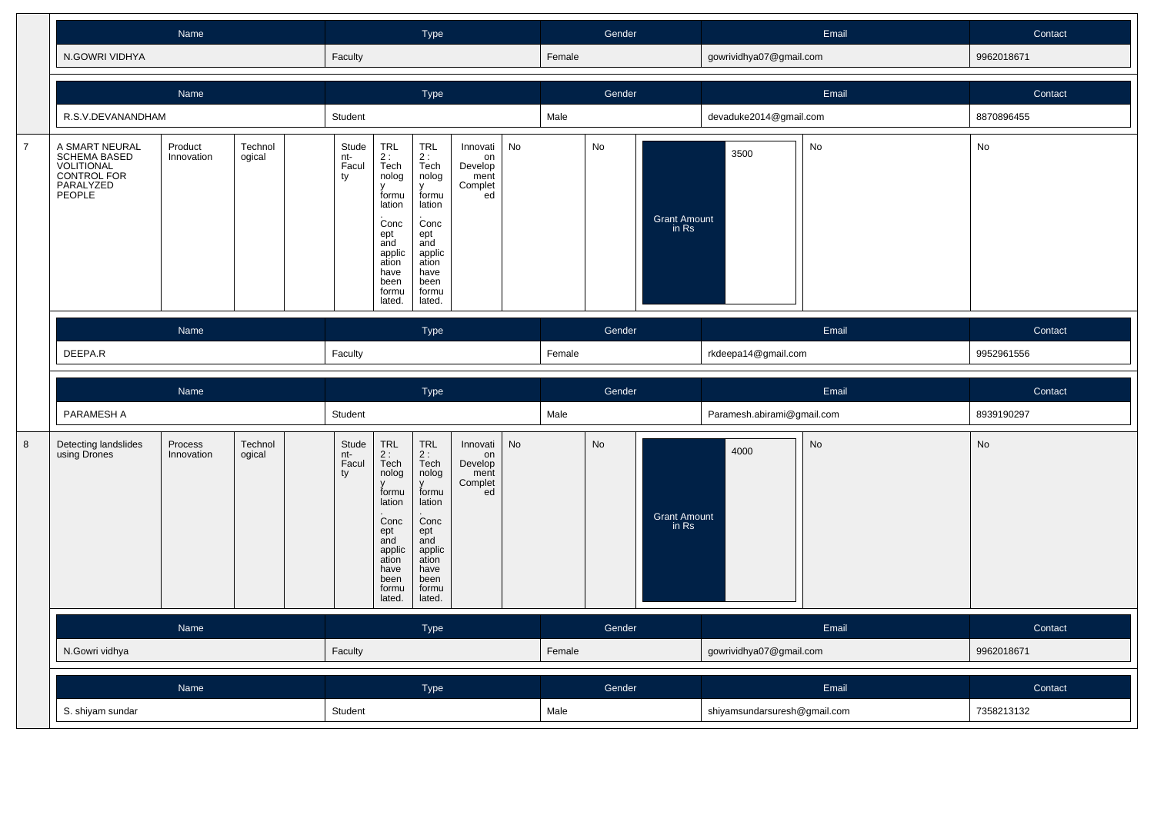|                |                                                                                                    | Name                  |                             |                                                                                                                                           | Type                                                                                                                                      |                                                                                                                                 |                                                    |    |        | Gender                |                              |                            | Email | Contact    |  |
|----------------|----------------------------------------------------------------------------------------------------|-----------------------|-----------------------------|-------------------------------------------------------------------------------------------------------------------------------------------|-------------------------------------------------------------------------------------------------------------------------------------------|---------------------------------------------------------------------------------------------------------------------------------|----------------------------------------------------|----|--------|-----------------------|------------------------------|----------------------------|-------|------------|--|
|                | N.GOWRI VIDHYA                                                                                     |                       |                             | Faculty                                                                                                                                   |                                                                                                                                           |                                                                                                                                 |                                                    |    | Female |                       |                              | gowrividhya07@gmail.com    |       | 9962018671 |  |
|                |                                                                                                    |                       | <b>Type</b>                 |                                                                                                                                           |                                                                                                                                           |                                                                                                                                 | Gender                                             |    |        |                       | Email                        | Contact                    |       |            |  |
|                | R.S.V.DEVANANDHAM                                                                                  |                       |                             | Student                                                                                                                                   |                                                                                                                                           |                                                                                                                                 |                                                    |    | Male   |                       |                              | devaduke2014@gmail.com     |       | 8870896455 |  |
| $\overline{7}$ | A SMART NEURAL<br><b>SCHEMA BASED</b><br><b>VOLITIONAL<br/>CONTROL FOR<br/>PARALYZED</b><br>PEOPLE | Technol<br>ogical     | Stude<br>nt-<br>Facul<br>ty | <b>TRL</b><br>$rac{2}{1}$<br>Tech<br>nolog<br>formu<br>lation<br>Conc<br>ept<br>and<br>applic<br>ation<br>have<br>been<br>formu<br>lated. | <b>TRL</b><br>$rac{2}{1}$<br>Tech<br>nolog<br>formu<br>lation<br>Conc<br>ept<br>and<br>applic<br>ation<br>have<br>been<br>formu<br>lated. | Innovati<br>on<br>Develop<br>ment<br>Complet<br>ed                                                                              | No                                                 |    | No     | Grant Amount<br>in Rs | 3500                         | No                         | No    |            |  |
|                |                                                                                                    | Name                  |                             |                                                                                                                                           |                                                                                                                                           | <b>Type</b>                                                                                                                     |                                                    |    |        | Gender                |                              | Email                      |       | Contact    |  |
|                | DEEPA.R                                                                                            |                       |                             |                                                                                                                                           |                                                                                                                                           | Faculty                                                                                                                         |                                                    |    |        |                       |                              | rkdeepa14@gmail.com        |       | 9952961556 |  |
|                |                                                                                                    |                       |                             |                                                                                                                                           |                                                                                                                                           |                                                                                                                                 |                                                    |    |        |                       |                              |                            |       |            |  |
|                |                                                                                                    | Name                  |                             |                                                                                                                                           |                                                                                                                                           | Type                                                                                                                            |                                                    |    |        | Gender                |                              |                            | Email | Contact    |  |
|                | PARAMESH A                                                                                         |                       |                             | Student                                                                                                                                   |                                                                                                                                           |                                                                                                                                 |                                                    |    | Male   |                       |                              | Paramesh.abirami@gmail.com |       | 8939190297 |  |
|                | Detecting landslides<br>using Drones                                                               | Process<br>Innovation | Technol<br>ogical           | Stude<br>nt-<br>Facul<br>ty                                                                                                               | <b>TRL</b><br>$2:$<br>Tech<br>nolog<br>formu<br>lation<br>Conc<br>ept<br>and<br>applic<br>ation<br>have<br>been<br>formu<br>lated.        | <b>TRL</b><br>$2:$ Tech<br>nolog<br>formu<br>lation<br>Conc<br>ept<br>and<br>applic<br>ation<br>have<br>been<br>formu<br>lated. | Innovati<br>on<br>Develop<br>ment<br>Complet<br>ed | No |        | No                    | <b>Grant Amount</b><br>in Rs | 4000                       | No    | No         |  |
| $\bf 8$        |                                                                                                    | Name                  |                             |                                                                                                                                           |                                                                                                                                           | <b>Type</b>                                                                                                                     |                                                    |    |        | Gender                |                              |                            | Email | Contact    |  |
|                | N.Gowri vidhya                                                                                     |                       |                             | Faculty                                                                                                                                   |                                                                                                                                           |                                                                                                                                 |                                                    |    | Female |                       |                              | gowrividhya07@gmail.com    |       | 9962018671 |  |
|                |                                                                                                    | Name                  |                             |                                                                                                                                           |                                                                                                                                           | <b>Type</b>                                                                                                                     |                                                    |    |        | Gender                |                              |                            | Email | Contact    |  |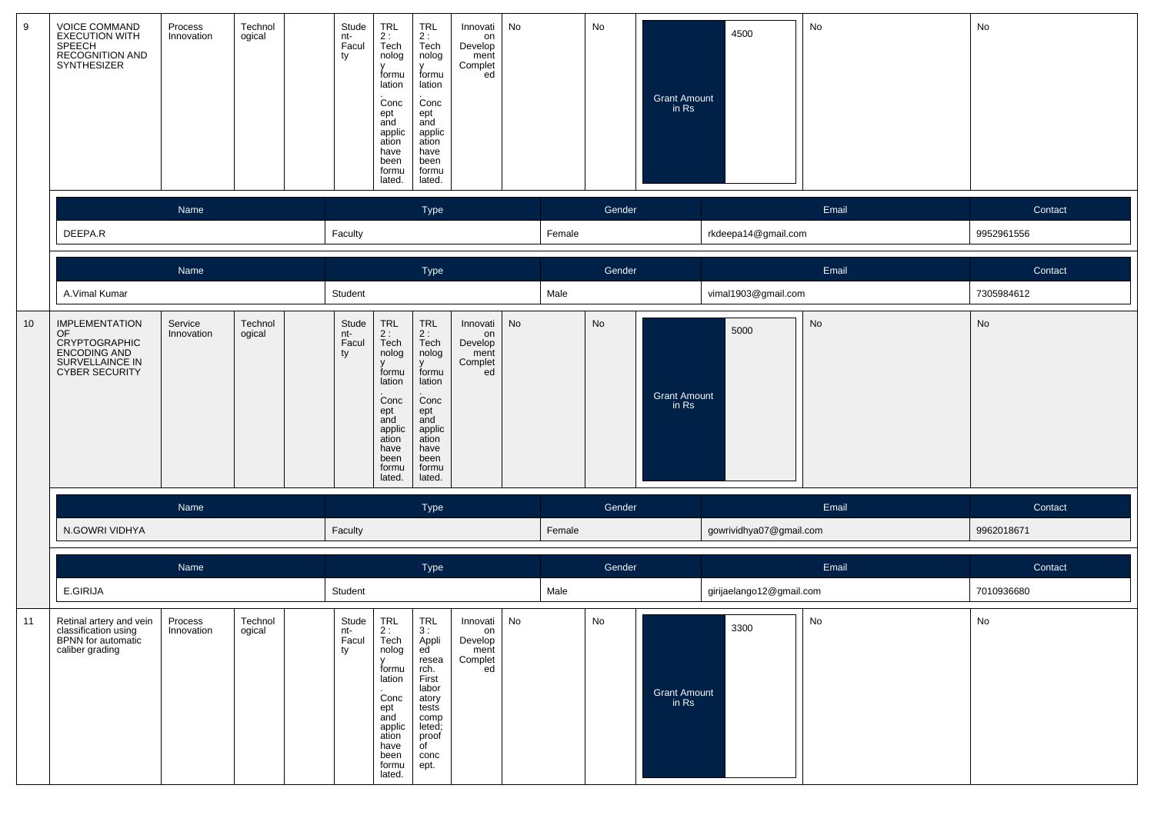| 9  | <b>VOICE COMMAND</b><br>EXECUTION WITH<br>SPEECH<br>SECOGNITION AND<br>SYNTHESIZER                              | Process<br>Innovation | Technol<br>ogical | Stude<br>nt-<br>Facul<br>ty | <b>TRL</b><br>2:<br>Tech<br>nolog<br>formu<br>lation<br>Conc<br>ept<br>and<br>applic<br>ation<br>have<br>been<br>formu<br>lated.                 | <b>TRL</b><br>2:<br>Tech<br>nolog<br>v<br>formu<br>lation<br>Conc<br>ept<br>and<br>applic<br>ation<br>have<br>been<br>formu<br>lated.     | Innovati<br>on<br>Develop<br>ment<br>Complet<br>ed | No |        | No     | <b>Grant Amount</b><br>in Rs | 4500                     | No    | No         |
|----|-----------------------------------------------------------------------------------------------------------------|-----------------------|-------------------|-----------------------------|--------------------------------------------------------------------------------------------------------------------------------------------------|-------------------------------------------------------------------------------------------------------------------------------------------|----------------------------------------------------|----|--------|--------|------------------------------|--------------------------|-------|------------|
|    |                                                                                                                 | Name                  |                   |                             |                                                                                                                                                  | Type                                                                                                                                      |                                                    |    |        | Gender |                              |                          | Email | Contact    |
|    | DEEPA.R                                                                                                         |                       |                   | Faculty                     |                                                                                                                                                  |                                                                                                                                           |                                                    |    | Female |        |                              | rkdeepa14@gmail.com      |       | 9952961556 |
|    |                                                                                                                 | Name                  |                   |                             |                                                                                                                                                  | Type                                                                                                                                      |                                                    |    |        | Gender |                              |                          | Email | Contact    |
|    | A.Vimal Kumar                                                                                                   |                       |                   | Student                     |                                                                                                                                                  |                                                                                                                                           |                                                    |    | Male   |        |                              | vimal1903@gmail.com      |       | 7305984612 |
| 10 | <b>IMPLEMENTATION</b><br>OF<br><b>CRYPTOGRAPHIC</b><br>ENCODING AND<br>SURVELLAINCE IN<br><b>CYBER SECURITY</b> | Service<br>Innovation | Technol<br>ogical | Stude<br>nt-<br>Facul<br>ty | TRL<br>2:<br>Tech<br>nolog<br>formu<br>lation<br>Conc<br>ept<br>and<br>applic<br>ation<br>have<br>been<br>formu<br>lated.                        | TRL<br>2:<br>Tech<br>nolog<br>$\mathsf{V}$<br>formu<br>lation<br>Conc<br>ept<br>and<br>applic<br>ation<br>have<br>been<br>formu<br>lated. | Innovati<br>on<br>Develop<br>ment<br>Complet<br>ed | No |        | No     | <b>Grant Amount</b><br>in Rs | 5000                     | No    | No         |
|    |                                                                                                                 | Name                  |                   |                             |                                                                                                                                                  | Type                                                                                                                                      |                                                    |    |        | Gender |                              |                          | Email | Contact    |
|    | N.GOWRI VIDHYA                                                                                                  |                       |                   | Faculty                     |                                                                                                                                                  |                                                                                                                                           |                                                    |    | Female |        |                              | gowrividhya07@gmail.com  |       | 9962018671 |
|    |                                                                                                                 | Name                  |                   |                             |                                                                                                                                                  | Type                                                                                                                                      |                                                    |    |        | Gender |                              |                          | Email | Contact    |
|    | E.GIRIJA                                                                                                        |                       |                   | Student                     |                                                                                                                                                  |                                                                                                                                           |                                                    |    | Male   |        |                              | girijaelango12@gmail.com |       | 7010936680 |
| 11 | Retinal artery and vein<br>classification using<br>BPNN for automatic<br>caliber grading                        | Process<br>Innovation | Technol<br>ogical | Stude<br>nt-<br>Facul<br>ty | <b>TRL</b><br>2:<br>Tech<br>nolog<br>$\mathbf{v}$<br>formu<br>lation<br>Conc<br>ept<br>and<br>applic<br>ation<br>have<br>been<br>formu<br>lated. | <b>TRL</b><br>3:<br>Appli<br>ed '<br>resea<br>rch.<br>First<br>labor<br>atory<br>tests<br>comp<br>leted;<br>proof<br>of<br>conc<br>ept.   | Innovati<br>on<br>Develop<br>ment<br>Complet<br>ed | No |        | No     | Grant Amount<br>in Rs        | 3300                     | No    | No         |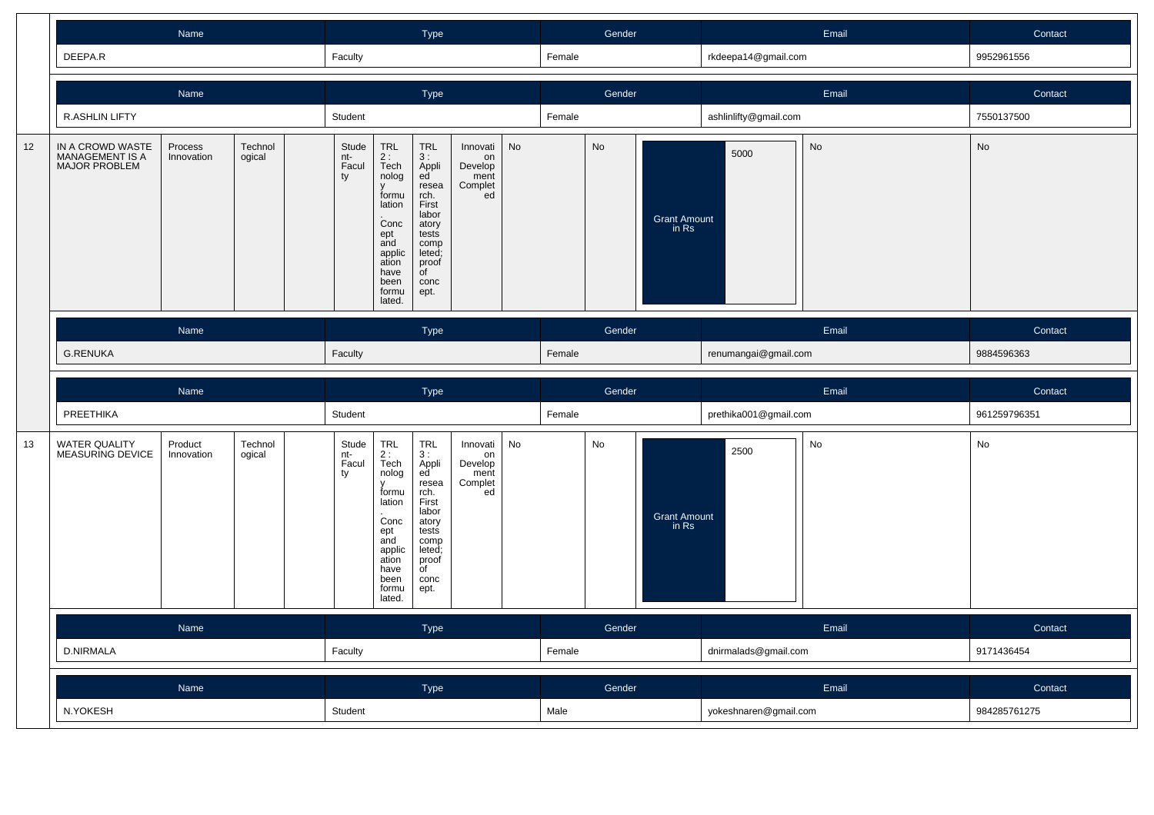|    |                                                             |                       |                             |                                                                                                                                      | Type                                                                                                                                              |                                                                                                                                       |                                                    |        |        |                       |                              | Email                 | Contact    |              |
|----|-------------------------------------------------------------|-----------------------|-----------------------------|--------------------------------------------------------------------------------------------------------------------------------------|---------------------------------------------------------------------------------------------------------------------------------------------------|---------------------------------------------------------------------------------------------------------------------------------------|----------------------------------------------------|--------|--------|-----------------------|------------------------------|-----------------------|------------|--------------|
|    | DEEPA.R                                                     |                       |                             | Faculty                                                                                                                              |                                                                                                                                                   |                                                                                                                                       |                                                    |        | Female |                       |                              | rkdeepa14@gmail.com   |            | 9952961556   |
|    |                                                             | <b>Name</b>           |                             | Type                                                                                                                                 |                                                                                                                                                   |                                                                                                                                       |                                                    | Gender |        |                       |                              | Email                 | Contact    |              |
|    | <b>R.ASHLIN LIFTY</b>                                       |                       |                             | Student                                                                                                                              |                                                                                                                                                   |                                                                                                                                       |                                                    | Female |        |                       | ashlinlifty@gmail.com        |                       | 7550137500 |              |
| 12 | IN A CROWD WASTE<br>MANAGEMENT IS A<br><b>MAJOR PROBLEM</b> | Technol<br>ogical     | Stude<br>nt-<br>Facul<br>ty | <b>TRL</b><br>$2:$ Tech<br>nolog<br>formu<br>lation<br>.<br>Conc<br>ept<br>and<br>applic<br>ation<br>have<br>been<br>formu<br>lated. | <b>TRL</b><br>3:<br>Appli<br>ed<br>resea<br>rch.<br>First<br>labor<br>atory<br>tests<br>comp<br>leted;<br>proof<br>$\overline{f}$<br>conc<br>ept. | Innovati<br>on<br>Develop<br>ment<br>Complet<br>ed                                                                                    | <b>No</b>                                          |        | No     | Grant Amount<br>in Rs | 5000                         | No                    | No         |              |
|    |                                                             | Name                  |                             |                                                                                                                                      |                                                                                                                                                   | Type                                                                                                                                  |                                                    |        | Gender |                       |                              | Email                 |            | Contact      |
|    | <b>G.RENUKA</b>                                             |                       |                             | Faculty                                                                                                                              |                                                                                                                                                   |                                                                                                                                       |                                                    | Female |        |                       | renumangai@gmail.com         |                       | 9884596363 |              |
|    |                                                             |                       |                             |                                                                                                                                      |                                                                                                                                                   |                                                                                                                                       |                                                    |        |        |                       |                              |                       |            |              |
|    |                                                             | Name                  |                             |                                                                                                                                      |                                                                                                                                                   | Type                                                                                                                                  |                                                    |        |        | Gender                |                              |                       | Email      | Contact      |
|    | PREETHIKA                                                   |                       |                             | Student                                                                                                                              |                                                                                                                                                   |                                                                                                                                       |                                                    |        | Female |                       |                              | prethika001@gmail.com |            | 961259796351 |
| 13 | <b>WATER QUALITY</b><br>MEASURING DEVICE                    | Product<br>Innovation | Technol<br>ogical           | Stude<br>nt-<br>Facul<br>ty                                                                                                          | TRL<br>$2:$<br>Tech<br>nolog<br>v<br>formu<br>lation<br>Conc<br>$ept$ and<br>applic<br>ation<br>have<br>been<br>formu<br>lated.                   | <b>TRL</b><br>3:<br>Appli<br>ed<br>resea<br>rch.<br>First<br>labor<br>atory<br>tests<br>comp<br>leted;<br>proof<br>of<br>conc<br>ept. | Innovati<br>on<br>Develop<br>ment<br>Complet<br>ed | No     |        | No                    | <b>Grant Amount</b><br>in Rs | 2500                  | No         | No           |
|    |                                                             | Name                  |                             |                                                                                                                                      |                                                                                                                                                   | Type                                                                                                                                  |                                                    |        |        | Gender                |                              |                       | Email      | Contact      |
|    | <b>D.NIRMALA</b>                                            |                       |                             | Faculty                                                                                                                              |                                                                                                                                                   |                                                                                                                                       |                                                    |        | Female |                       |                              | dnirmalads@gmail.com  |            | 9171436454   |
|    |                                                             | Name                  |                             |                                                                                                                                      |                                                                                                                                                   | Type                                                                                                                                  |                                                    |        |        | Gender                |                              |                       | Email      | Contact      |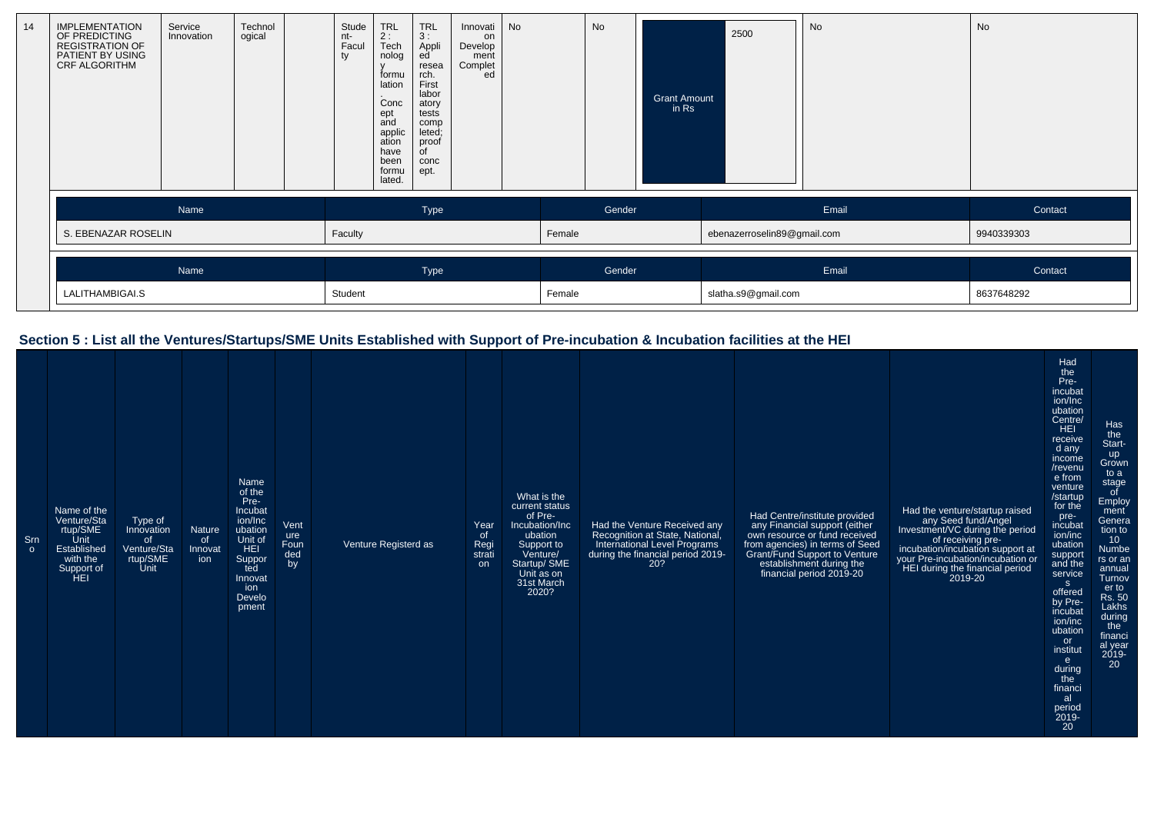| 14 | <b>IMPLEMENTATION</b><br>OF PREDICTING<br><b>REGISTRATION OF</b><br>PATIENT BY USING<br>CRF ALGORITHM | Service<br>Innovation | Technol<br>ogical | Stude<br>nt-<br>Facul<br>ty | <b>TRL</b><br>2:<br>Tech<br>nolog<br>formu<br>lation<br>Conc<br>ept<br>and<br>applic<br>ation<br>have<br>been<br>formu<br>lated. | <b>TRL</b><br>3:<br>Appli<br>ed<br>resea<br>rch.<br>First<br>labor<br>atory<br>tests<br>comp<br>leted;<br>proof<br>$\overline{C}$<br>conc<br>ept. | Innovati<br>on<br>Develop<br>ment<br>Complet<br>ed | <b>No</b> |        | No     | <b>Grant Amount</b><br>in Rs | 2500                        | No    | No         |
|----|-------------------------------------------------------------------------------------------------------|-----------------------|-------------------|-----------------------------|----------------------------------------------------------------------------------------------------------------------------------|---------------------------------------------------------------------------------------------------------------------------------------------------|----------------------------------------------------|-----------|--------|--------|------------------------------|-----------------------------|-------|------------|
|    |                                                                                                       | Name                  |                   |                             |                                                                                                                                  | Type                                                                                                                                              |                                                    |           |        | Gender |                              |                             | Email | Contact    |
|    | S. EBENAZAR ROSELIN                                                                                   |                       |                   | Faculty                     |                                                                                                                                  |                                                                                                                                                   |                                                    |           | Female |        |                              | ebenazerroselin89@gmail.com |       | 9940339303 |
|    |                                                                                                       | Name                  |                   |                             |                                                                                                                                  | Type                                                                                                                                              |                                                    |           |        | Gender |                              |                             | Email | Contact    |
|    | LALITHAMBIGAI.S                                                                                       |                       |                   | Student                     |                                                                                                                                  |                                                                                                                                                   |                                                    |           | Female |        |                              | slatha.s9@gmail.com         |       | 8637648292 |

### **Section 5 : List all the Ventures/Startups/SME Units Established with Support of Pre-incubation & Incubation facilities at the HEI**

| Srn<br>$\circ$ | Name of the<br>Venture/Sta<br>rtup/SME<br>Unit<br>Established<br>with the<br>Support of<br>HEI | Type of<br>Innovation<br>of.<br>Venture/Sta<br>rtup/SME<br>Unit | Nature<br><b>of</b><br>Innovat<br>ion | Name<br>of the<br>Pre-<br>Incubat<br>ion/Inc<br>ubation<br>Unit of<br><b>HEI</b><br>Suppor<br>ted<br>Innovat<br>ion<br>Develo<br>pment | Vent<br>ure<br>Foun<br>ded<br>by | Venture Registerd as | Year<br>of<br>Regi<br>strati<br><b>on</b> | What is the<br>current status<br>of Pre-<br>Incubation/Inc<br>ubation<br>Support to<br>Venture/<br>Startup/ SME<br>Unit as on<br>31st March<br>2020? | Had the Venture Received any<br>Recognition at State, National,<br>International Level Programs<br>during the financial period 2019-<br>20? | Had Centre/institute provided<br>any Financial support (either<br>own resource or fund received<br>from agencies) in terms of Seed<br>Grant/Fund Support to Venture<br>establishment during the<br>financial period 2019-20 | Had the venture/startup raised<br>any Seed fund/Angel<br>Investment/VC during the period<br>of receiving pre-<br>incubation/incubation support at<br>your Pre-incubation/incubation or<br>HEI during the financial period<br>2019-20 | Had<br>the<br>Pre-<br>incubat<br>ion/Inc<br>ubation<br>Centre/<br><b>HEI</b><br>receive<br>d any<br>income<br>/revenu<br>e from<br>venture<br>/startup<br>for the<br>pre-<br>incubat<br>ion/inc<br>ubation<br>support<br>and the<br>service<br>S<br>offered<br>by Pre-<br>incubat<br>ion/inc<br>ubation<br>or<br>institut<br>e<br>during<br>the<br>financi<br>al<br>period | Has<br>the<br>Start-<br>up<br>Grown<br>to a<br>stage<br>of<br>Employ<br>ment<br>Genera<br>tion to<br>10<br>Numbe<br>rs or an<br>annual<br>Turnov<br>er to<br>Rs. 50<br>Lakhs<br>during<br>the<br>financi<br>al year<br>2019-<br>20 |
|----------------|------------------------------------------------------------------------------------------------|-----------------------------------------------------------------|---------------------------------------|----------------------------------------------------------------------------------------------------------------------------------------|----------------------------------|----------------------|-------------------------------------------|------------------------------------------------------------------------------------------------------------------------------------------------------|---------------------------------------------------------------------------------------------------------------------------------------------|-----------------------------------------------------------------------------------------------------------------------------------------------------------------------------------------------------------------------------|--------------------------------------------------------------------------------------------------------------------------------------------------------------------------------------------------------------------------------------|----------------------------------------------------------------------------------------------------------------------------------------------------------------------------------------------------------------------------------------------------------------------------------------------------------------------------------------------------------------------------|------------------------------------------------------------------------------------------------------------------------------------------------------------------------------------------------------------------------------------|
|                |                                                                                                |                                                                 |                                       |                                                                                                                                        |                                  |                      |                                           |                                                                                                                                                      |                                                                                                                                             |                                                                                                                                                                                                                             |                                                                                                                                                                                                                                      | $2019 -$<br><b>20</b>                                                                                                                                                                                                                                                                                                                                                      |                                                                                                                                                                                                                                    |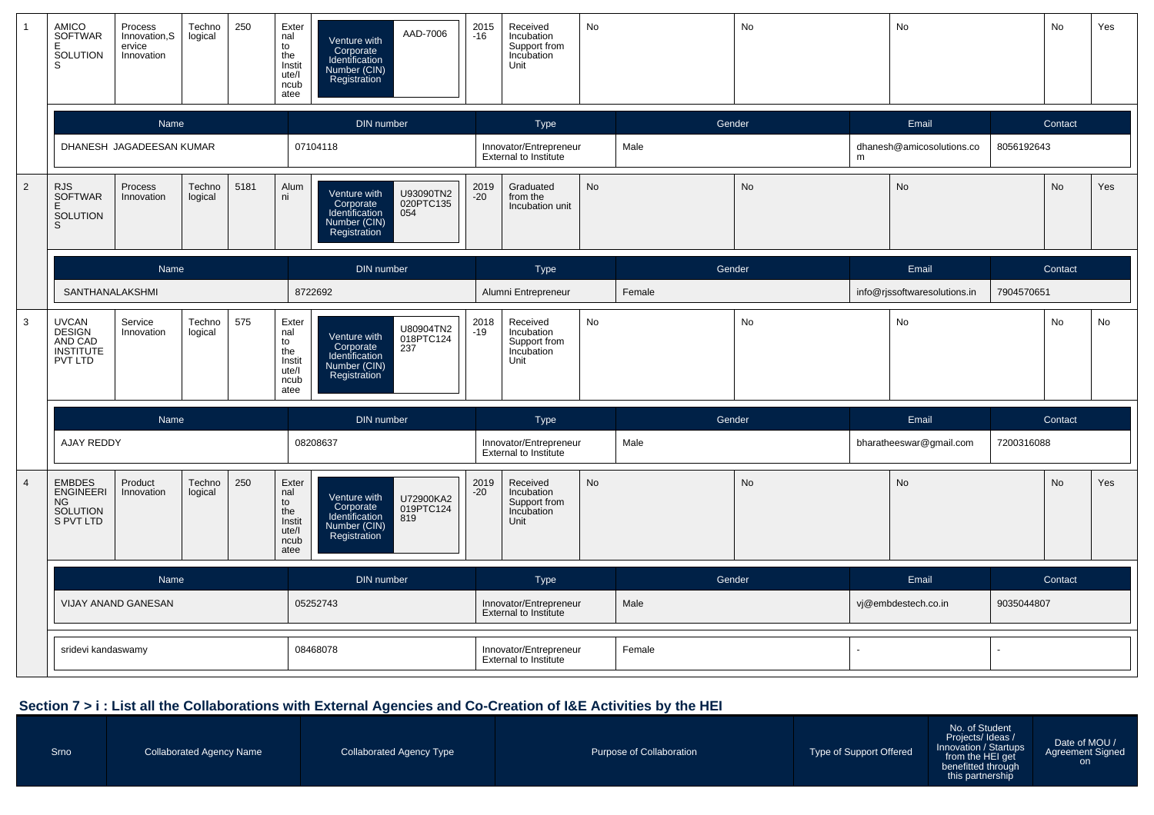|                | AMICO<br><b>SOFTWAR</b><br>Е<br>SOLUTION<br>S                           | Process<br>Innovation, S<br>ervice<br>Innovation | Techno<br>logical | 250  | Exter<br>nal<br>to<br>the<br>Instit<br>ute/l<br>ncub<br>atee | AAD-7006<br>Venture with<br>Corporate<br>Identification<br>Number (CIN)<br>Registration                      | 2015<br>-16                                            | Received<br>Incubation<br>Support from<br>Incubation<br>Unit | No     |        | <b>No</b>           |   | <b>No</b>                    |            | No        | Yes |
|----------------|-------------------------------------------------------------------------|--------------------------------------------------|-------------------|------|--------------------------------------------------------------|--------------------------------------------------------------------------------------------------------------|--------------------------------------------------------|--------------------------------------------------------------|--------|--------|---------------------|---|------------------------------|------------|-----------|-----|
|                |                                                                         | Name                                             |                   |      |                                                              | DIN number                                                                                                   |                                                        | Type                                                         |        | Gender |                     |   | Email                        |            | Contact   |     |
|                |                                                                         | DHANESH JAGADEESAN KUMAR                         |                   |      |                                                              | 07104118                                                                                                     |                                                        | Innovator/Entrepreneur<br><b>External to Institute</b>       |        | Male   |                     | m | dhanesh@amicosolutions.co    | 8056192643 |           |     |
| $\overline{2}$ | RJS<br>SOFTWAR<br>Ε<br><b>SOLUTION</b><br>S                             | Process<br>Innovation                            | Techno<br>logical | 5181 | Alum<br>ni                                                   | U93090TN2<br>020PTC135<br>Venture with<br>Corporate<br>Identification<br>054<br>Number (CIN)<br>Registration | 2019<br>-20                                            | Graduated<br>from the<br>Incubation unit                     | No     |        | <b>No</b>           |   | No                           |            | <b>No</b> | Yes |
|                |                                                                         | Name                                             |                   |      |                                                              | DIN number                                                                                                   |                                                        | Type                                                         |        | Gender |                     |   | Email                        |            | Contact   |     |
|                | SANTHANALAKSHMI                                                         |                                                  |                   |      |                                                              | 8722692                                                                                                      |                                                        | Alumni Entrepreneur                                          |        | Female |                     |   | info@rjssoftwaresolutions.in | 7904570651 |           |     |
| $\overline{3}$ | <b>UVCAN</b><br><b>DESIGN</b><br>AND CAD<br><b>INSTITUTE</b><br>PVT LTD | Service<br>Innovation                            | Techno<br>logical | 575  | Exter<br>nal<br>to<br>the<br>Instit<br>ute/l<br>ncub<br>atee | U80904TN2<br>018PTC124<br>237<br>Venture with<br>Corporate<br>Identification<br>Number (CIN)<br>Registration | 2018<br>-19                                            | Received<br>Incubation<br>Support from<br>Incubation<br>Unit | No     |        | No                  |   | No                           |            | No        | No  |
|                |                                                                         | <b>Name</b>                                      |                   |      |                                                              | DIN number                                                                                                   |                                                        | <b>Type</b>                                                  |        | Gender |                     |   | Email                        |            | Contact   |     |
|                | AJAY REDDY                                                              |                                                  |                   |      |                                                              | 08208637                                                                                                     |                                                        | Innovator/Entrepreneur<br>External to Institute              |        | Male   |                     |   | bharatheeswar@gmail.com      | 7200316088 |           |     |
| $\overline{4}$ | <b>EMBDES</b><br><b>ENGINEERI</b><br>NG.<br>SOLUTION<br>S PVT LTD       | Product<br>Innovation                            | Techno<br>logical | 250  | Exter<br>nal<br>to<br>the<br>Instit<br>ute/l<br>ncub<br>atee | Venture with<br>U72900KA2<br>Corporate<br>Identification<br>019PTC124<br>819<br>Number (CIN)<br>Registration | 2019<br>$-20$                                          | Received<br>Incubation<br>Support from<br>Incubation<br>Unit | No     |        | No                  |   | <b>No</b>                    |            | <b>No</b> | Yes |
|                |                                                                         | Name                                             |                   |      |                                                              | DIN number                                                                                                   |                                                        | Type                                                         |        | Gender |                     |   | Email                        |            | Contact   |     |
|                | VIJAY ANAND GANESAN                                                     |                                                  |                   |      | 05252743                                                     |                                                                                                              | Innovator/Entrepreneur<br>External to Institute        |                                                              | Male   |        | vj@embdestech.co.in |   | 9035044807                   |            |           |     |
|                | sridevi kandaswamy                                                      |                                                  |                   |      | 08468078                                                     |                                                                                                              | Innovator/Entrepreneur<br><b>External to Institute</b> |                                                              | Female |        |                     |   |                              |            |           |     |

#### **Section 7 > i : List all the Collaborations with External Agencies and Co-Creation of I&E Activities by the HEI**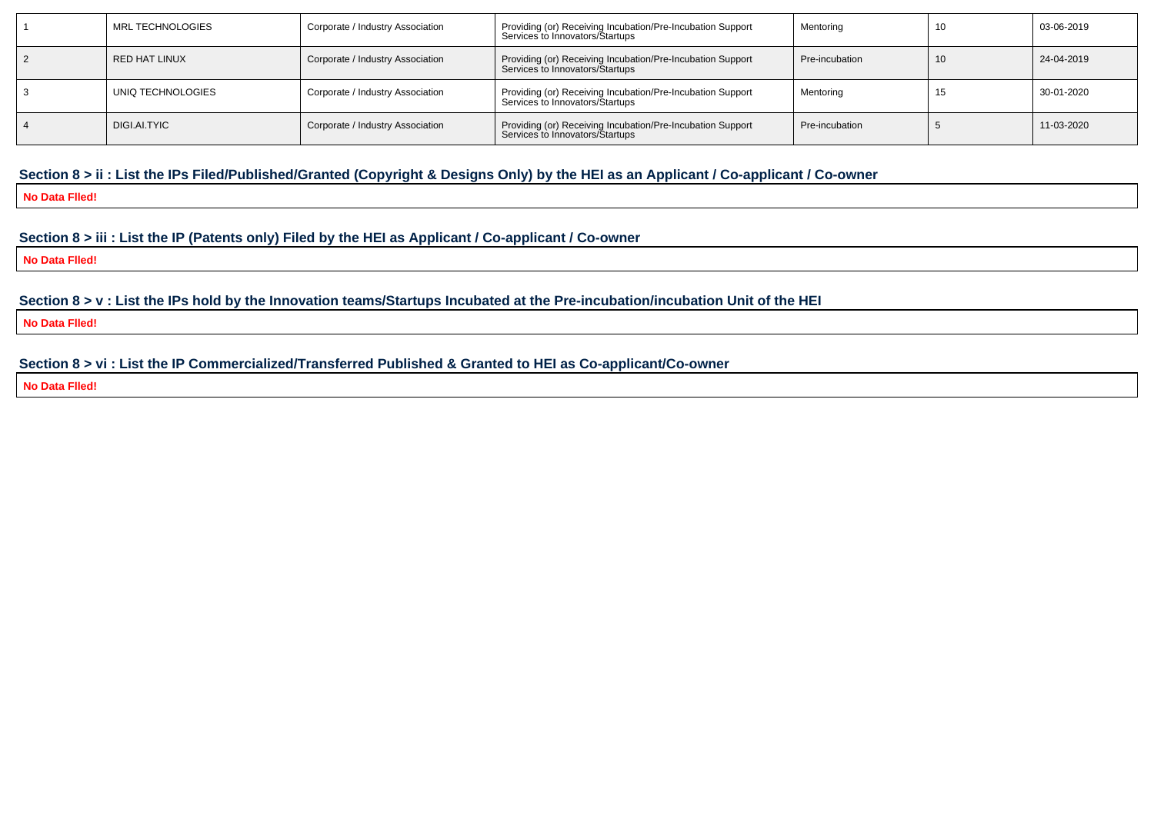| MRL TECHNOLOGIES  | Corporate / Industry Association | Providing (or) Receiving Incubation/Pre-Incubation Support<br>Services to Innovators/Startups | Mentoring      |    | 03-06-2019 |
|-------------------|----------------------------------|-----------------------------------------------------------------------------------------------|----------------|----|------------|
| RED HAT LINUX     | Corporate / Industry Association | Providing (or) Receiving Incubation/Pre-Incubation Support<br>Services to Innovators/Startups | Pre-incubation | 10 | 24-04-2019 |
| UNIQ TECHNOLOGIES | Corporate / Industry Association | Providing (or) Receiving Incubation/Pre-Incubation Support<br>Services to Innovators/Startups | Mentoring      |    | 30-01-2020 |
| DIGI.AI.TYIC      | Corporate / Industry Association | Providing (or) Receiving Incubation/Pre-Incubation Support<br>Services to Innovators/Startups | Pre-incubation |    | 11-03-2020 |

#### **Section 8 > ii : List the IPs Filed/Published/Granted (Copyright & Designs Only) by the HEI as an Applicant / Co-applicant / Co-owner**

**No Data Flled!**

#### **Section 8 > iii : List the IP (Patents only) Filed by the HEI as Applicant / Co-applicant / Co-owner**

**No Data Flled!**

**Section 8 > v : List the IPs hold by the Innovation teams/Startups Incubated at the Pre-incubation/incubation Unit of the HEI**

**No Data Flled!**

#### **Section 8 > vi : List the IP Commercialized/Transferred Published & Granted to HEI as Co-applicant/Co-owner**

**No Data Flled!**